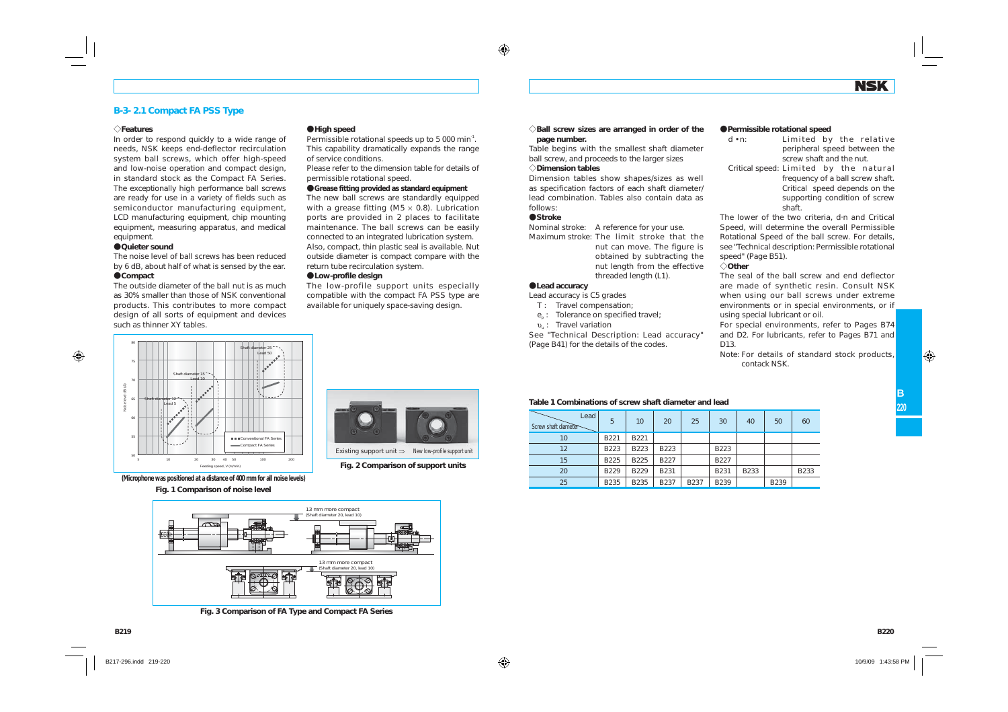#### **B-3- 2.1 Compact FA PSS Type**

#### e**Features**

In order to respond quickly to a wide range of needs, NSK keeps end-deflector recirculation system ball screws, which offer high-speed and low-noise operation and compact design, in standard stock as the Compact FA Series. The exceptionally high performance ball screws are ready for use in a variety of fields such as semiconductor manufacturing equipment. LCD manufacturing equipment, chip mounting equipment, measuring apparatus, and medical equipment.

#### A**Quieter sound**

The noise level of ball screws has been reduced by 6 dB, about half of what is sensed by the ear. A**Compact**

#### The outside diameter of the ball nut is as much

as 30% smaller than those of NSK conventional products. This contributes to more compact design of all sorts of equipment and devices such as thinner XY tables.



**(Microphone was positioned at a distance of 400 mm for all noise levels)**

#### **Fig. 1 Comparison of noise level**



**Fig. 3 Comparison of FA Type and Compact FA Series**

#### A**High speed**

Permissible rotational speeds up to 5 000 min<sup>-1</sup>. This capability dramatically expands the range of service conditions.

Please refer to the dimension table for details of permissible rotational speed.

#### A**Grease fitting provided as standard equipment**

The new ball screws are standardly equipped with a grease fitting (M5  $\times$  0.8). Lubrication ports are provided in 2 places to facilitate maintenance. The ball screws can be easily connected to an integrated lubrication system. Also, compact, thin plastic seal is available. Nut outside diameter is compact compare with the return tube recirculation system.

#### A**Low-profile design**

The low-profile support units especially compatible with the compact FA PSS type are available for uniquely space-saving design.

**Fig. 2 Comparison of support units**

Existing support unit ⇒ New low-profile support unit

 $\Diamond$ Ball screw sizes are arranged in order of the **page number.**

Table begins with the smallest shaft diameter ball screw, and proceeds to the larger sizes

#### e**Dimension tables**

Dimension tables show shapes/sizes as well as specification factors of each shaft diameter/ lead combination. Tables also contain data as follows:

#### A**Stroke**

Nominal stroke: A reference for your use.

Maximum stroke: The limit stroke that the nut can move. The figure is obtained by subtracting the nut length from the effective threaded length (L1).

#### A**Lead accuracy**

Lead accuracy is C5 grades

- *T* : Travel compensation;
- $e_p$ : Tolerance on specified travel;
- <sup>υ</sup>u : Travel variation

See "Technical Description: Lead accuracy" (Page B41) for the details of the codes.

#### A**Permissible rotational speed**

| $d \cdot n$ :                          |                          |  | Limited by the relative          |
|----------------------------------------|--------------------------|--|----------------------------------|
|                                        |                          |  | peripheral speed between the     |
|                                        | screw shaft and the nut. |  |                                  |
| Critical speed: Limited by the natural |                          |  |                                  |
|                                        |                          |  | frequency of a ball screw shaft. |
|                                        |                          |  | Critical speed depends on the    |
|                                        |                          |  | supporting condition of screw    |
|                                        | shaft.                   |  |                                  |

The lower of the two criteria, d·n and Critical Speed, will determine the overall Permissible Rotational Speed of the ball screw. For details, see "Technical description: Permissible rotational speed" (Page B51).

#### e**Other**

The seal of the ball screw and end deflector are made of synthetic resin. Consult NSK when using our ball screws under extreme environments or in special environments, or if using special lubricant or oil.

For special environments, refer to Pages B74 and D2. For lubricants, refer to Pages B71 and D13.

Note: For details of standard stock products, contack NSK.

#### **Table 1 Combinations of screw shaft diameter and lead**

| Lead<br>Screw shaft diameter | 5           | 10          | 20          | 25          | 30          | 40   | 50   | 60   |
|------------------------------|-------------|-------------|-------------|-------------|-------------|------|------|------|
| 10                           | B221        | B221        |             |             |             |      |      |      |
| 12                           | B223        | B223        | B223        |             | B223        |      |      |      |
| 15                           | B225        | B225        | <b>B227</b> |             | B227        |      |      |      |
| 20                           | B229        | B229        | B231        |             | <b>B231</b> | B233 |      | B233 |
| 25                           | <b>B235</b> | <b>B235</b> | B237        | <b>B237</b> | B239        |      | B239 |      |

**B219**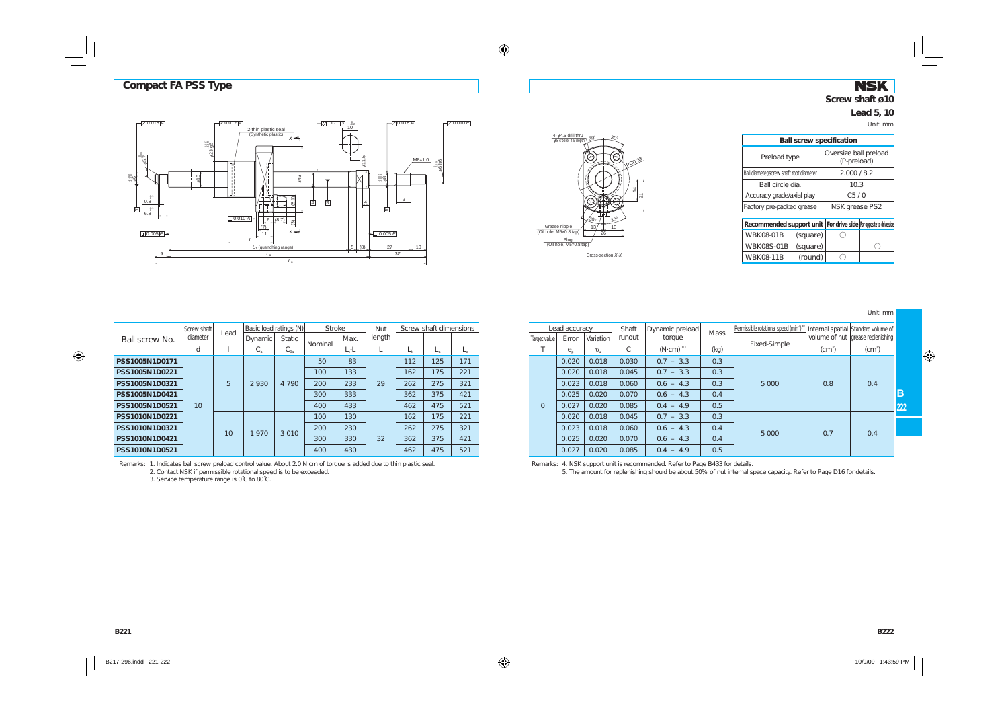### **NSK Screw shaft ø10**

# **Lead 5, 10**



| <b>Ball screw specification</b>         |                                      |  |  |  |  |  |  |  |  |
|-----------------------------------------|--------------------------------------|--|--|--|--|--|--|--|--|
| Preload type                            | Oversize ball preload<br>(P-preload) |  |  |  |  |  |  |  |  |
| Ball diameter/screw shaft root diameter | 2.000/8.2                            |  |  |  |  |  |  |  |  |
| Ball circle dia.                        | 10.3                                 |  |  |  |  |  |  |  |  |
| Accuracy grade/axial play               | C5/0                                 |  |  |  |  |  |  |  |  |
| Factory pre-packed grease               | NSK grease PS2                       |  |  |  |  |  |  |  |  |
|                                         |                                      |  |  |  |  |  |  |  |  |

| Recommended support unit   For drive side   For opposite to drive side |          |  |
|------------------------------------------------------------------------|----------|--|
| WBK08-01B                                                              | (square) |  |
| WBK08S-01B (square)                                                    |          |  |
| <b>WBK08-11B</b>                                                       | (round)  |  |

Unit: mm

**B222**





|                                                    | Screw shaft     | Lead            | Basic load ratings (N) |               | Stroke  |      | Nut    | Screw shaft dimensions |             |             |
|----------------------------------------------------|-----------------|-----------------|------------------------|---------------|---------|------|--------|------------------------|-------------|-------------|
| Ball screw No.                                     | diameter        |                 | Dynamic                | <b>Static</b> |         | Max. | length |                        |             |             |
|                                                    | d               | 1               | $C_{\rm a}$            | $C_{0a}$      | Nominal | L,-L | L      | $L_{\rm t}$            | $L_{\rm a}$ | $L_{\rm o}$ |
| PSS1005N1D0171<br>PSS1005N1D0221<br>PSS1005N1D0321 |                 |                 |                        |               | 50      | 83   |        | 112                    | 125         | 171         |
|                                                    |                 |                 | 2930                   | 4 7 9 0       | 100     | 133  |        | 162                    | 175         | 221         |
|                                                    |                 | 5               |                        |               | 200     | 233  | 29     | 262                    | 275         | 321         |
| PSS1005N1D0421                                     |                 |                 |                        |               | 300     | 333  |        | 362                    | 375         | 421         |
| PSS1005N1D0521                                     | 10 <sup>°</sup> |                 |                        |               | 400     | 433  |        | 462                    | 475         | 521         |
| PSS1010N1D0221                                     |                 |                 |                        |               | 100     | 130  |        | 162                    | 175         | 221         |
| PSS1010N1D0321<br>PSS1010N1D0421<br>PSS1010N1D0521 |                 | 10 <sup>1</sup> | 1970                   | 3 0 1 0       | 200     | 230  |        | 262                    | 275         | 321         |
|                                                    |                 |                 |                        |               | 300     | 330  | 32     | 362                    | 375         | 421         |
|                                                    |                 |                 |                        |               | 400     | 430  |        | 462                    | 475         | 521         |

| roke: | Nut    |     | Screw shaft dimensions |     |                | Lead accuracy |             | Shaft                   | Dynamic preload | <b>Mass</b> | Permissible rotational speed (min <sup>3</sup> ) |              | Internal spatial Standard volume of |
|-------|--------|-----|------------------------|-----|----------------|---------------|-------------|-------------------------|-----------------|-------------|--------------------------------------------------|--------------|-------------------------------------|
| Max.  | length |     |                        |     | Target value   | Error         | Variation   | runout                  | torque          |             |                                                  |              | volume of nut   grease replenishing |
| L,-L  |        | L,  | ட                      |     |                | $e_{n}$       | $v_{\rm n}$ | $\curvearrowright$<br>U | $(N$ cm) $*1$   | (kg)        | Fixed-Simple                                     | $\rm (cm^3)$ | (cm <sup>3</sup> )                  |
| 83    |        | 112 | 125                    | 171 |                | 0.020         | 0.018       | 0.030                   | $0.7 - 3.3$     | 0.3         |                                                  |              |                                     |
| 133   |        | 162 | 175                    | 221 |                | 0.020         | 0.018       | 0.045                   | $0.7 - 3.3$     | 0.3         |                                                  |              |                                     |
| 233   | 29     | 262 | 275                    | 321 |                | 0.023         | 0.018       | 0.060                   | $0.6 - 4.3$     | 0.3         | 5 0 0 0                                          | 0.8          | 0.4                                 |
| 333   |        | 362 | 375                    | 421 |                | 0.025         | 0.020       | 0.070                   | $0.6 - 4.3$     | 0.4         |                                                  |              |                                     |
| 433   |        | 462 | 475                    | 521 | $\overline{O}$ | 0.027         | 0.020       | 0.085                   | $0.4 - 4.9$     | 0.5         |                                                  |              |                                     |
| 130   |        | 162 | 175                    | 221 |                | 0.020         | 0.018       | 0.045                   | $0.7 - 3.3$     | 0.3         |                                                  |              |                                     |
| 230   |        | 262 | 275                    | 321 |                | 0.023         | 0.018       | 0.060                   | $0.6 - 4.3$     | 0.4         | 5 0 0 0                                          | 0.7          | 0.4                                 |
| 330   | 32     | 362 | 375                    | 421 |                | 0.025         | 0.020       | 0.070                   | $0.6 - 4.3$     | 0.4         |                                                  |              |                                     |
| 430   |        | 462 | 475                    | 521 |                | 0.027         | 0.020       | 0.085                   | $0.4 - 4.9$     | 0.5         |                                                  |              |                                     |

Remarks: 1. Indicates ball screw preload control value. About 2.0 N·cm of torque is added due to thin plastic seal. 2. Contact NSK if permissible rotational speed is to be exceeded.

3. Service temperature range is 0˚C to 80˚C.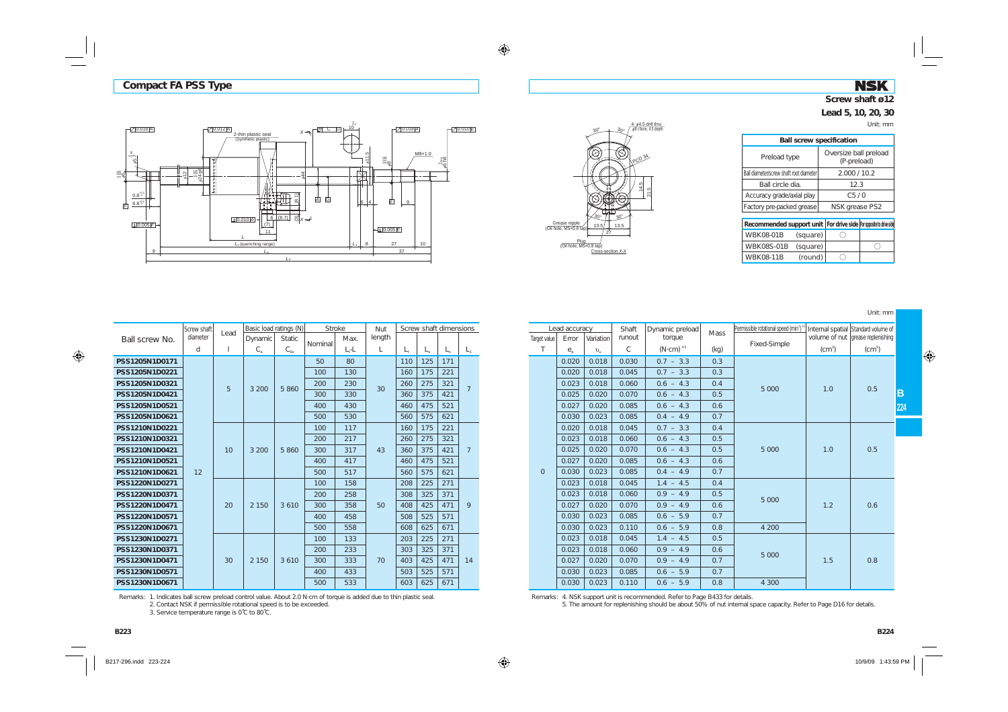# **NSK Screw shaft ø12**

#### **Lead 5, 10, 20, 30**

Unit: mm





| <b>Ball screw specification</b>         |                                                                        |
|-----------------------------------------|------------------------------------------------------------------------|
| Preload type                            | Oversize ball preload<br>(P-preload)                                   |
| Ball diameter/screw shaft root diameter | 2.000/10.2                                                             |
| Ball circle dia.                        | 12.3                                                                   |
| Accuracy grade/axial play               | C <sub>5</sub> /0                                                      |
| Factory pre-packed grease               | NSK grease PS2                                                         |
|                                         |                                                                        |
|                                         | Recommended support unit   For drive side   For opposite to drive side |

| Recommended support unit   For drive side   For opposite to drive side |          |  |
|------------------------------------------------------------------------|----------|--|
| WBK08-01B                                                              | (square) |  |
| WBK08S-01B (square)                                                    |          |  |
| <b>WBK08-11B</b>                                                       | (round)  |  |

Unit: mm

|                | Screw shaft | Lead | Basic load ratings (N) |          | <b>Stroke</b> |         | <b>Nut</b> |             | Screw shaft dimensions |         |                 |  |
|----------------|-------------|------|------------------------|----------|---------------|---------|------------|-------------|------------------------|---------|-----------------|--|
| Ball screw No. | diameter    |      | Dynamic                | Static.  | Nominal       | Max.    | length     |             |                        |         |                 |  |
|                | d           | 1    | $C_{\rm a}$            | $C_{0a}$ |               | $L, -L$ | L          | $L_{\rm t}$ | $L_{\rm a}$            | $L_{n}$ | $L_{1}$         |  |
| PSS1205N1D0171 |             |      |                        |          | 50            | 80      |            | 110         | 125                    | 171     |                 |  |
| PSS1205N1D0221 |             |      |                        |          | 100           | 130     |            | 160         | 175                    | 221     |                 |  |
| PSS1205N1D0321 |             | 5    | 3 200                  | 5860     | 200           | 230     | 30         | 260         | 275                    | 321     | $\overline{7}$  |  |
| PSS1205N1D0421 |             |      |                        |          | 300           | 330     |            | 360         | 375                    | 421     |                 |  |
| PSS1205N1D0521 |             |      |                        |          | 400           | 430     |            | 460         | 475                    | 521     |                 |  |
| PSS1205N1D0621 |             |      |                        |          | 500           | 530     |            | 560         | 575                    | 621     |                 |  |
| PSS1210N1D0221 |             |      |                        |          | 100           | 117     |            | 160         | 175                    | 221     |                 |  |
| PSS1210N1D0321 |             |      |                        |          | 200           | 217     |            | 260         | 275                    | 321     |                 |  |
| PSS1210N1D0421 |             | 10   | 3 200                  | 5860     | 300           | 317     | 43         | 360         | 375                    | 421     | $7\overline{ }$ |  |
| PSS1210N1D0521 |             |      |                        |          | 400           | 417     |            | 460         | 475                    | 521     |                 |  |
| PSS1210N1D0621 | 12          |      |                        |          | 500           | 517     |            | 560         | 575                    | 621     |                 |  |
| PSS1220N1D0271 |             |      |                        |          | 100           | 158     |            | 208         | 225                    | 271     |                 |  |
| PSS1220N1D0371 |             |      |                        |          | 200           | 258     |            | 308         | 325                    | 371     |                 |  |
| PSS1220N1D0471 |             | 20   | 2 1 5 0                | 3610     | 300           | 358     | 50         | 408         | 425                    | 471     | 9               |  |
| PSS1220N1D0571 |             |      |                        |          | 400           | 458     |            | 508         | 525                    | 571     |                 |  |
| PSS1220N1D0671 |             |      |                        |          | 500           | 558     |            | 608         | 625                    | 671     |                 |  |
| PSS1230N1D0271 |             |      |                        |          | 100           | 133     |            | 203         | 225                    | 271     |                 |  |
| PSS1230N1D0371 |             |      |                        |          | 200           | 233     |            | 303         | 325                    | 371     |                 |  |
| PSS1230N1D0471 |             | 30   | 2 1 5 0                | 3 6 1 0  | 300           | 333     | 70         | 403         | 425                    | 471     | 14              |  |
| PSS1230N1D0571 |             |      |                        |          | 400           | 433     |            | 503         | 525                    | 571     |                 |  |
| PSS1230N1D0671 |             |      |                        |          | 500           | 533     |            | 603         | 625                    | 671     |                 |  |

Remarks: 1. Indicates ball screw preload control value. About 2.0 N·cm of torque is added due to thin plastic seal. 2. Contact NSK if permissible rotational speed is to be exceeded.

3. Service temperature range is 0˚C to 80˚C.

| roke:   | Nut    |     |     | Screw shaft dimensions |                 |              | Lead accuracy                      |                    | Shaft         | Dynamic preload     | Mass        | Permissible rotational speed (min <sup>1</sup> ) |              | Internal spatial Standard volume of |     |
|---------|--------|-----|-----|------------------------|-----------------|--------------|------------------------------------|--------------------|---------------|---------------------|-------------|--------------------------------------------------|--------------|-------------------------------------|-----|
| Max.    | length |     |     |                        |                 | Target value | Error                              | Variation          | runout        | torque              |             | Fixed-Simple                                     |              | volume of nut grease replenishing   |     |
| $L, -L$ |        |     |     |                        |                 |              | $e_{\scriptscriptstyle{\text{D}}}$ | $\upsilon_{\rm n}$ | $\mathcal{C}$ | $(N \cdot cm)^{*1}$ | (kg)        |                                                  | $\rm (cm^3)$ | $(cm^3)$                            |     |
| 80      |        | 110 | 125 | 171                    |                 |              | 0.020                              | 0.018              | 0.030         | $0.7 - 3.3$         | 0.3         |                                                  |              |                                     |     |
| 130     |        | 160 | 175 | 221                    |                 |              | 0.020                              | 0.018              | 0.045         | $0.7 - 3.3$         | 0.3         |                                                  |              |                                     |     |
| 230     | 30     | 260 | 275 | 321                    | $7\overline{ }$ |              | 0.023                              | 0.018              | 0.060         | $0.6 - 4.3$         | 0.4         | 5 0 0 0                                          | 1.0          | 0.5                                 |     |
| 330     |        | 360 | 375 | 421                    |                 |              | 0.025                              | 0.020              | 0.070         | $0.6 - 4.3$         | 0.5         |                                                  |              |                                     | B   |
| 430     |        | 460 | 475 | 521                    |                 |              | 0.027                              | 0.020              | 0.085         | $0.6 - 4.3$         | 0.6         |                                                  |              |                                     | 224 |
| 530     |        | 560 | 575 | 621                    |                 |              | 0.030                              | 0.023              | 0.085         | $0.4 - 4.9$         | 0.7         |                                                  |              |                                     |     |
| 117     |        | 160 | 175 | 221                    |                 |              | 0.020                              | 0.018              | 0.045         | $0.7 - 3.3$         | 0.4         |                                                  |              |                                     |     |
| 217     |        | 260 | 275 | 321                    |                 |              | 0.023                              | 0.018              | 0.060         | $0.6 - 4.3$         | 0.5         |                                                  |              |                                     |     |
| 317     | 43     | 360 | 375 | 421                    | $7\overline{ }$ |              | 0.025                              | 0.020              | 0.070         | $0.6 - 4.3$         | 0.5         | 5 0 0 0                                          | 1.0          | 0.5                                 |     |
| 417     |        | 460 | 475 | 521                    |                 |              | 0.027                              | 0.020              | 0.085         | $0.6 - 4.3$         | 0.6         |                                                  |              |                                     |     |
| 517     |        | 560 | 575 | 621                    |                 |              | $\mathbf{0}$                       | 0.030              | 0.023         | 0.085               | $0.4 - 4.9$ | 0.7                                              |              |                                     |     |
| 158     |        | 208 | 225 | 271                    |                 |              | 0.023                              | 0.018              | 0.045         | $1.4 - 4.5$         | 0.4         |                                                  |              |                                     |     |
| 258     |        | 308 | 325 | 371                    |                 |              | 0.023                              | 0.018              | 0.060         | $0.9 - 4.9$         | 0.5         | 5 0 0 0                                          | 1.2          |                                     |     |
| 358     | 50     | 408 | 425 | 471                    | 9               |              | 0.027                              | 0.020              | 0.070         | $0.9 - 4.9$         | 0.6         |                                                  |              | 0.6                                 |     |
| 458     |        | 508 | 525 | 571                    |                 |              | 0.030                              | 0.023              | 0.085         | $0.6 - 5.9$         | 0.7         |                                                  |              |                                     |     |
| 558     |        | 608 | 625 | 671                    |                 |              | 0.030                              | 0.023              | 0.110         | $0.6 - 5.9$         | 0.8         | 4 200                                            |              |                                     |     |
| 133     |        | 203 | 225 | 271                    |                 |              | 0.023                              | 0.018              | 0.045         | $1.4 - 4.5$         | 0.5         |                                                  |              |                                     |     |
| 233     |        | 303 | 325 | 371                    |                 |              | 0.023                              | 0.018              | 0.060         | $0.9 - 4.9$         | 0.6         | 5 0 0 0                                          |              |                                     |     |
| 333     | 70     | 403 | 425 | 471                    | 14              |              | 0.027                              | 0.020              | 0.070         | $0.9 - 4.9$         | 0.7         |                                                  | 1.5          | 0.8                                 |     |
| 433     |        | 503 | 525 | 571                    |                 |              | 0.030                              | 0.023              | 0.085         | $0.6 - 5.9$         | 0.7         |                                                  |              |                                     |     |
| 533     |        | 603 | 625 | 671                    |                 |              | 0.030                              | 0.023              | 0.110         | $0.6 - 5.9$         | 0.8         | 4 300                                            |              |                                     |     |

Remarks: 4. NSK support unit is recommended. Refer to Page B433 for details.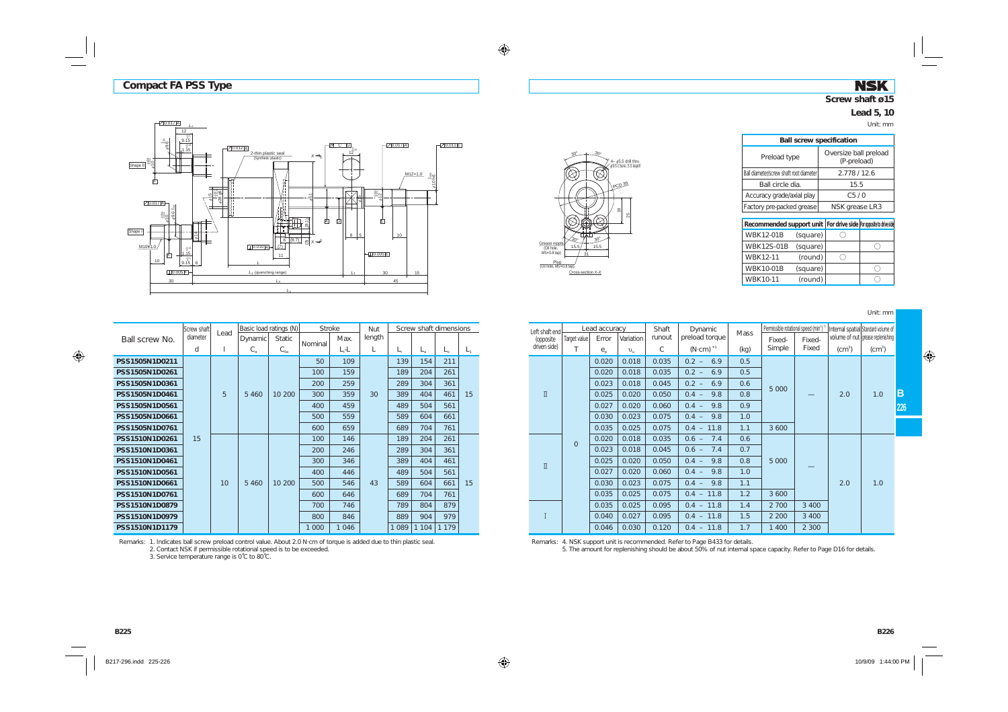### **NSK Screw shaft ø15**

# **Lead 5, 10**

Unit: mm

| <b>Ball screw specification</b>                                        |                                      |  |  |  |  |  |  |  |  |  |
|------------------------------------------------------------------------|--------------------------------------|--|--|--|--|--|--|--|--|--|
| Preload type                                                           | Oversize ball preload<br>(P-preload) |  |  |  |  |  |  |  |  |  |
| Ball diameter/screw shaft root diameter                                | 2.778/12.6                           |  |  |  |  |  |  |  |  |  |
| Ball circle dia.                                                       | 15.5                                 |  |  |  |  |  |  |  |  |  |
| Accuracy grade/axial play                                              | C <sub>5</sub> /0                    |  |  |  |  |  |  |  |  |  |
| Factory pre-packed grease                                              | NSK grease LR3                       |  |  |  |  |  |  |  |  |  |
|                                                                        |                                      |  |  |  |  |  |  |  |  |  |
| Recommended support unit   For drive side   For opposite to drive side |                                      |  |  |  |  |  |  |  |  |  |

| Recommended support unit   For drive side   For opposite to drive side |          |  |
|------------------------------------------------------------------------|----------|--|
| <b>WBK12-01B</b>                                                       | (square) |  |
| <b>WBK12S-01B</b>                                                      | (square) |  |
| <b>WBK12-11</b>                                                        | (round)  |  |
| <b>WBK10-01B</b>                                                       | (square) |  |
| WBK10-11                                                               | (round)  |  |

Unit: mm



| PCD 39<br>$\frac{8}{2}$<br>25<br>$30^\circ$<br>′3ი∘<br>Grease nipple<br>15.5<br>15.5<br>(Oil hole,<br>M5×0.8 tap)<br>31<br>Plug<br>(Oil hole, M5×0.8 tap)<br>Cross-section X-X |
|--------------------------------------------------------------------------------------------------------------------------------------------------------------------------------|
|--------------------------------------------------------------------------------------------------------------------------------------------------------------------------------|

30°

 $4 \phi$ 5.5 drill thru  $\phi$ 9.5 c'bore, 5.5 depth

30°

| roke:   | Nut    |             |             | Screw shaft dimensions |       | Left shaft end         |                | Lead accuracy                   |              | Shaft  | Dynamic             | <b>Mass</b> | Permissible rotational speed (min <sup>3</sup> ) |                                |                    | Internal spatial Standard volume of |
|---------|--------|-------------|-------------|------------------------|-------|------------------------|----------------|---------------------------------|--------------|--------|---------------------|-------------|--------------------------------------------------|--------------------------------|--------------------|-------------------------------------|
| Max.    | length |             |             |                        |       | (opposite              | Target value   | Error                           | Variation    | runout | preload torque      |             | Fixed-                                           | Fixed-                         |                    | volume of nut grease replenishing   |
| $L - L$ |        | $L_{\rm t}$ | $L_{\rm a}$ | $L_{\Omega}$           | $L_1$ | driven side)           |                | $e_{\scriptscriptstyle{\circ}}$ | $v_{\rm in}$ | C      | $(N \cdot cm)^{*1}$ | (kq)        | Simple                                           | Fixed                          | (cm <sup>3</sup> ) | (cm <sup>3</sup> )                  |
| 109     |        | 139         | 154         | 211                    |       |                        |                | 0.020                           | 0.018        | 0.035  | $0.2 -$<br>6.9      | 0.5         |                                                  |                                |                    |                                     |
| 159     |        | 189         | 204         | 261                    |       |                        |                | 0.020                           | 0.018        | 0.035  | $0.2 -$<br>6.9      | 0.5         |                                                  |                                |                    |                                     |
| 259     |        | 289         | 304         | 361                    |       |                        |                | 0.023                           | 0.018        | 0.045  | $0.2 -$<br>6.9      | 0.6         | 5 0 0 0                                          |                                |                    |                                     |
| 359     | 30     | 389         | 404         | 461                    | 15    | $\mathbbm{I}$          |                | 0.025                           | 0.020        | 0.050  | $0.4 -$<br>9.8      | 0.8         |                                                  | $\overbrace{\phantom{12332}}$  | 2.0                | 1.0                                 |
| 459     |        | 489         | 504         | 561                    |       |                        |                | 0.027                           | 0.020        | 0.060  | 9.8<br>$0.4 -$      | 0.9         |                                                  |                                |                    |                                     |
| 559     |        | 589         | 604         | 661                    |       |                        |                | 0.030                           | 0.023        | 0.075  | $0.4 -$<br>9.8      | 1.0         |                                                  |                                |                    |                                     |
| 659     |        | 689         | 704         | 761                    |       |                        |                | 0.035                           | 0.025        | 0.075  | $0.4 - 11.8$        | 1.1         | 3 6 0 0                                          |                                |                    |                                     |
| 146     |        | 189         | 204         | 261                    |       |                        | $\overline{0}$ | 0.020                           | 0.018        | 0.035  | 7.4<br>$0.6 -$      | 0.6         |                                                  |                                |                    |                                     |
| 246     |        | 289         | 304         | 361                    |       |                        |                | 0.023                           | 0.018        | 0.045  | $0.6 -$<br>7.4      | 0.7         |                                                  |                                |                    |                                     |
| 346     |        | 389         | 404         | 461                    |       | $\rm \overline{\rm I}$ |                | 0.025                           | 0.020        | 0.050  | $0.4 -$<br>9.8      | 0.8         | 5 0 0 0                                          | $\overbrace{\hspace{25mm}}^{}$ |                    |                                     |
| 446     |        | 489         | 504         | 561                    |       |                        |                | 0.027                           | 0.020        | 0.060  | $0.4 -$<br>9.8      | 1.0         |                                                  |                                |                    |                                     |
| 546     | 43     | 589         | 604         | 661                    | 15    |                        |                | 0.030                           | 0.023        | 0.075  | $0.4 -$<br>9.8      | 1.1         |                                                  |                                | 2.0                | 1.0                                 |
| 646     |        | 689         | 704         | 761                    |       |                        |                | 0.035                           | 0.025        | 0.075  | $0.4 - 11.8$        | 1.2         | 3 6 0 0                                          |                                |                    |                                     |
| 746     |        | 789         | 804         | 879                    |       |                        |                | 0.035                           | 0.025        | 0.095  | $0.4 - 11.8$        | 1.4         | 2 700                                            | 3 4 0 0                        |                    |                                     |
| 846     |        | 889         | 904         | 979                    |       |                        |                | 0.040                           | 0.027        | 0.095  | $0.4 - 11.8$        | 1.5         | 2 2 0 0                                          | 3 4 0 0                        |                    |                                     |
| 1 0 4 6 |        | 1 0 8 9     | 1104        | 1 1 7 9                |       |                        |                | 0.046                           | 0.030        | 0.120  | $0.4 - 11.8$        | 1.7         | 1 4 0 0                                          | 2 3 0 0                        |                    |                                     |

Remarks: 4. NSK support unit is recommended. Refer to Page B433 for details. 5. The amount for replenishing should be about 50% of nut internal space capacity. Refer to Page D16 for details.

|                                                                      | Screw shaft | Lead |             | Basic load ratings (N) |         | <b>Stroke</b> | Nut    |         |         | Screw shaft dimensions<br>$L_{\rm a}$<br>L.<br>154<br>211<br>204<br>261<br>361<br>304<br>461<br>404<br>504<br>561<br>661<br>604 |         |  |
|----------------------------------------------------------------------|-------------|------|-------------|------------------------|---------|---------------|--------|---------|---------|---------------------------------------------------------------------------------------------------------------------------------|---------|--|
| Ball screw No.                                                       | diameter    |      | Dynamic     | <b>Static</b>          |         | Max.          | length |         |         |                                                                                                                                 |         |  |
|                                                                      | d           | 1    | $C_{\rm a}$ | $C_{0a}$               | Nominal | $L - L$       | L      | L,      |         |                                                                                                                                 | $L_{1}$ |  |
| PSS1505N1D0211                                                       |             |      |             |                        | 50      | 109           |        | 139     |         |                                                                                                                                 |         |  |
| PSS1505N1D0261                                                       |             |      |             |                        | 100     | 159           |        | 189     |         |                                                                                                                                 |         |  |
| PSS1505N1D0361                                                       |             | 5    |             |                        | 200     | 259           |        | 289     |         |                                                                                                                                 |         |  |
| PSS1505N1D0461                                                       |             |      | 5 4 6 0     | 10 200                 | 300     | 359           | 30     | 389     |         |                                                                                                                                 | 15      |  |
| PSS1505N1D0561                                                       |             |      |             |                        | 400     | 459           |        | 489     |         |                                                                                                                                 |         |  |
| PSS1505N1D0661                                                       |             |      |             |                        | 500     | 559           |        | 589     |         |                                                                                                                                 |         |  |
| PSS1505N1D0761                                                       |             |      |             |                        | 600     | 659           |        | 689     | 704     | 761                                                                                                                             |         |  |
| PSS1510N1D0261                                                       | 15          |      |             |                        | 100     | 146           |        | 189     | 204     | 261                                                                                                                             |         |  |
| PSS1510N1D0361                                                       |             |      |             |                        | 200     | 246           |        | 289     | 304     | 361                                                                                                                             |         |  |
| PSS1510N1D0461                                                       |             |      |             |                        | 300     | 346           |        | 389     | 404     | 461                                                                                                                             |         |  |
| PSS1510N1D0561                                                       |             |      |             |                        | 400     | 446           |        | 489     | 504     | 561                                                                                                                             |         |  |
| PSS1510N1D0661                                                       |             | 10   | 5 4 6 0     | 10 200                 | 500     | 546           | 43     | 589     | 604     | 661                                                                                                                             | 15      |  |
| PSS1510N1D0761<br>PSS1510N1D0879<br>PSS1510N1D0979<br>PSS1510N1D1179 |             |      |             |                        | 600     | 646           |        | 689     | 704     | 761                                                                                                                             |         |  |
|                                                                      |             |      |             |                        | 700     | 746           |        | 789     | 804     | 879                                                                                                                             |         |  |
|                                                                      |             |      |             |                        | 800     | 846           |        | 889     | 904     | 979                                                                                                                             |         |  |
|                                                                      |             |      |             |                        | 1 0 0 0 | 1046          |        | 1 0 8 9 | 1 1 0 4 | 1 1 7 9                                                                                                                         |         |  |

Remarks: 1. Indicates ball screw preload control value. About 2.0 N·cm of torque is added due to thin plastic seal<br>2. Contact NSK if permissible rotational speed is to be exceeded.<br>3. Service temperature range is 0°C to 80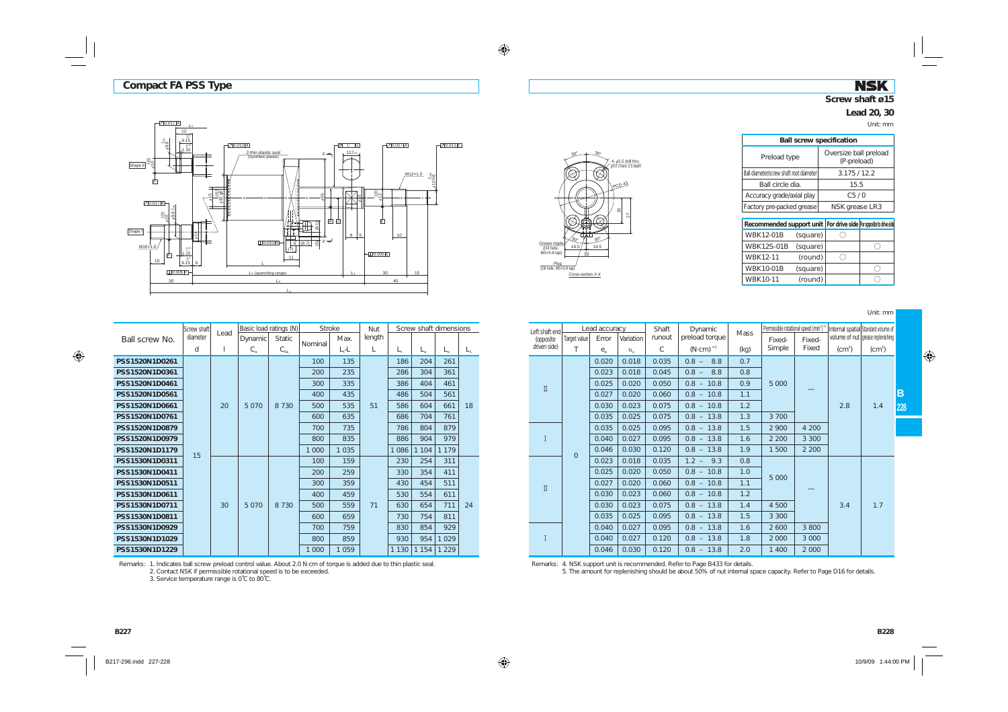### **NSK Screw shaft ø15**

Oversize ball preload (P-preload)

#### **Lead 20, 30**

Unit: mm





| Ball diameter/screw shaft root diameter                               |          | 3.175/12.2        |  |  |  |  |
|-----------------------------------------------------------------------|----------|-------------------|--|--|--|--|
| Ball circle dia.                                                      |          | 15.5              |  |  |  |  |
| Accuracy grade/axial play                                             |          | C <sub>5</sub> /0 |  |  |  |  |
| Factory pre-packed grease                                             |          | NSK grease LR3    |  |  |  |  |
|                                                                       |          |                   |  |  |  |  |
| Recommended support unit   For drive side   For opposite to drive sid |          |                   |  |  |  |  |
| <b>WBK12-01B</b>                                                      | (square) |                   |  |  |  |  |
| <b>WBK12S-01B</b>                                                     | (square) |                   |  |  |  |  |
| WBK12-11                                                              | (round)  |                   |  |  |  |  |
| <b>WBK10-01B</b>                                                      |          |                   |  |  |  |  |

**Ball screw specification**

Preload type

 $WBK10-11$  (round)  $\bigcirc$ 

Unit: mm

|                                                                      | Screw shaft | Lead |             | Basic load ratings (N) |         | <b>Stroke</b> | Nut    | Screw shaft dimensions |             |              |         |  |
|----------------------------------------------------------------------|-------------|------|-------------|------------------------|---------|---------------|--------|------------------------|-------------|--------------|---------|--|
| Ball screw No.                                                       | diameter    |      | Dynamic     | <b>Static</b>          |         | Max.          | length |                        |             |              |         |  |
|                                                                      | d           | 1    | $C_{\rm a}$ | $C_{0a}$               | Nominal | $L_t$ -L      | L      | L,                     | $L_{\rm a}$ | $L_{\alpha}$ | $L_{1}$ |  |
| PSS1520N1D0261                                                       |             |      |             |                        | 100     | 135           |        | 186                    | 204         | 261          |         |  |
| PSS1520N1D0361<br>PSS1520N1D0461<br>PSS1520N1D0561                   |             |      |             |                        | 200     | 235           |        | 286                    | 304         | 361          |         |  |
|                                                                      |             |      |             |                        | 300     | 335           |        | 386                    | 404         | 461          |         |  |
|                                                                      |             |      |             |                        | 400     | 435           |        | 486                    | 504         | 561          |         |  |
| PSS1520N1D0661                                                       |             | 20   | 5 0 7 0     | 8 7 3 0                | 500     | 535           | 51     | 586                    | 604         | 661          | 18      |  |
| PSS1520N1D0761                                                       |             |      |             |                        | 600     | 635           |        | 686                    | 704         | 761          |         |  |
| PSS1520N1D0879                                                       |             |      |             |                        | 700     | 735           |        | 786                    | 804         | 879          |         |  |
| PSS1520N1D0979                                                       |             |      |             |                        | 800     | 835           |        | 886                    | 904         | 979          |         |  |
| PSS1520N1D1179                                                       | 15          |      |             |                        | 1 000   | 1 0 3 5       |        | 1 0 8 6                | 1 1 0 4     | 1 1 7 9      |         |  |
| PSS1530N1D0311                                                       |             |      |             |                        | 100     | 159           |        | 230                    | 254         | 311          |         |  |
| PSS1530N1D0411                                                       |             |      |             |                        | 200     | 259           |        | 330                    | 354         | 411          |         |  |
| PSS1530N1D0511                                                       |             |      |             |                        | 300     | 359           |        | 430                    | 454         | 511          |         |  |
| PSS1530N1D0611                                                       |             |      |             |                        | 400     | 459           |        | 530                    | 554         | 611          |         |  |
| PSS1530N1D0711                                                       |             | 30   | 5 0 7 0     | 8 7 3 0                | 500     | 559           | 71     | 630                    | 654         | 711          | 24      |  |
| PSS1530N1D0811<br>PSS1530N1D0929<br>PSS1530N1D1029<br>PSS1530N1D1229 |             |      |             |                        | 600     | 659           |        | 730                    | 754         | 811          |         |  |
|                                                                      |             |      |             |                        | 700     | 759           |        | 830                    | 854         | 929          |         |  |
|                                                                      |             |      |             |                        | 800     | 859           |        | 930                    | 954         | 1 0 2 9      |         |  |
|                                                                      |             |      |             |                        | 1 000   | 1 0 5 9       |        | 1 1 3 0                | 1 1 5 4     | 1 2 2 9      |         |  |

Remarks: 1. Indicates ball screw preload control value. About 2.0 N·cm of torque is added due to thin plastic seal. 2. Contact NSK if permissible rotational speed is to be exceeded.

3. Service temperature range is 0˚C to 80˚C.

| roke    | Nut    |             | Screw shaft dimensions |             |         | Left shaft end |              | Lead accuracy              |              | Shaft  | Dynamic             | <b>Mass</b> | Permissible rotational speed (min <sup>1</sup> ) |         |          | Internal spatial Standard volume of |     |
|---------|--------|-------------|------------------------|-------------|---------|----------------|--------------|----------------------------|--------------|--------|---------------------|-------------|--------------------------------------------------|---------|----------|-------------------------------------|-----|
| Max.    | length |             |                        |             |         | (opposite      | Target value | Error                      | Variation    | runout | preload torque      |             | Fixed-                                           | Fixed-  |          | volume of nut grease replenishing   |     |
| $L - L$ |        | $L_{\rm t}$ | $L_a$                  | $L_{\odot}$ | $L_{1}$ | driven side)   |              | $e_{\scriptscriptstyle p}$ | $v_{\rm in}$ | C      | $(N \cdot cm)^{*1}$ | (kq)        | Simple                                           | Fixed   | $(cm^3)$ | (cm <sup>3</sup> )                  |     |
| 135     |        | 186         | 204                    | 261         |         |                |              | 0.020                      | 0.018        | 0.035  | $0.8 -$<br>8.8      | 0.7         |                                                  |         |          |                                     |     |
| 235     |        | 286         | 304                    | 361         |         |                |              | 0.023                      | 0.018        | 0.045  | $0.8 -$<br>8.8      | 0.8         |                                                  |         |          |                                     |     |
| 335     |        | 386         | 404                    | 461         |         |                |              | 0.025                      | 0.020        | 0.050  | $0.8 - 10.8$        | 0.9         | 5 0 0 0                                          |         |          |                                     |     |
| 435     |        | 486         | 504                    | 561         |         | $\rm \Pi$      |              | 0.027                      | 0.020        | 0.060  | $0.8 - 10.8$        | 1.1         |                                                  |         |          |                                     | ΙB  |
| 535     | 51     | 586         | 604                    | 661         | 18      |                |              | 0.030                      | 0.023        | 0.075  | $0.8 - 10.8$        | 1.2         |                                                  |         | 2.8      | 1.4                                 | 228 |
| 635     |        | 686         | 704                    | 761         |         |                |              | 0.035                      | 0.025        | 0.075  | $0.8 - 13.8$        | 1.3         | 3 700                                            |         |          |                                     |     |
| 735     |        | 786         | 804                    | 879         |         |                |              | 0.035                      | 0.025        | 0.095  | $0.8 - 13.8$        | 1.5         | 2 900                                            | 4 200   |          |                                     |     |
| 835     |        | 886         | 904                    | 979         |         |                |              | 0.040                      | 0.027        | 0.095  | $0.8 - 13.8$        | 1.6         | 2 2 0 0                                          | 3 3 0 0 |          |                                     |     |
| 1 0 3 5 |        | 1086        | 104                    | 179         |         |                | $\mathbf{0}$ | 0.046                      | 0.030        | 0.120  | $0.8 - 13.8$        | 1.9         | 1 500                                            | 2 2 0 0 |          |                                     |     |
| 159     |        | 230         | 254                    | 311         |         |                |              | 0.023                      | 0.018        | 0.035  | $1.2 - 9.3$         | 0.8         |                                                  |         |          |                                     |     |
| 259     |        | 330         | 354                    | 411         |         |                |              | 0.025                      | 0.020        | 0.050  | $0.8 - 10.8$        | 1.0         | 5 0 0 0                                          |         |          |                                     |     |
| 359     |        | 430         | 454                    | 511         |         | $\rm \Pi$      |              | 0.027                      | 0.020        | 0.060  | $0.8 - 10.8$        | 1.1         |                                                  |         |          |                                     |     |
| 459     |        | 530         | 554                    | 611         |         |                |              | 0.030                      | 0.023        | 0.060  | $0.8 - 10.8$        | 1.2         |                                                  |         |          |                                     |     |
| 559     | 71     | 630         | 654                    | 711         | 24      |                |              | 0.030                      | 0.023        | 0.075  | $0.8 - 13.8$        | 1.4         | 4 500                                            |         | 3.4      | 1.7                                 |     |
| 659     |        | 730         | 754                    | 811         |         |                |              | 0.035                      | 0.025        | 0.095  | $0.8 - 13.8$        | 1.5         | 3 3 0 0                                          |         |          |                                     |     |
| 759     |        | 830         | 854                    | 929         |         |                |              | 0.040                      | 0.027        | 0.095  | $0.8 - 13.8$        | 1.6         | 2 6 0 0                                          | 3 800   |          |                                     |     |
| 859     |        | 930         | 954                    | 029         |         |                |              | 0.040                      | 0.027        | 0.120  | $0.8 - 13.8$        | 1.8         | 2 0 0 0                                          | 3 0 0 0 |          |                                     |     |
| 1 0 5 9 |        |             | 1 130   1 154          | 1229        |         |                |              | 0.046                      | 0.030        | 0.120  | $0.8 - 13.8$        | 2.0         | 1 400                                            | 2 0 0 0 |          |                                     |     |

Remarks: 4. NSK support unit is recommended. Refer to Page B433 for details.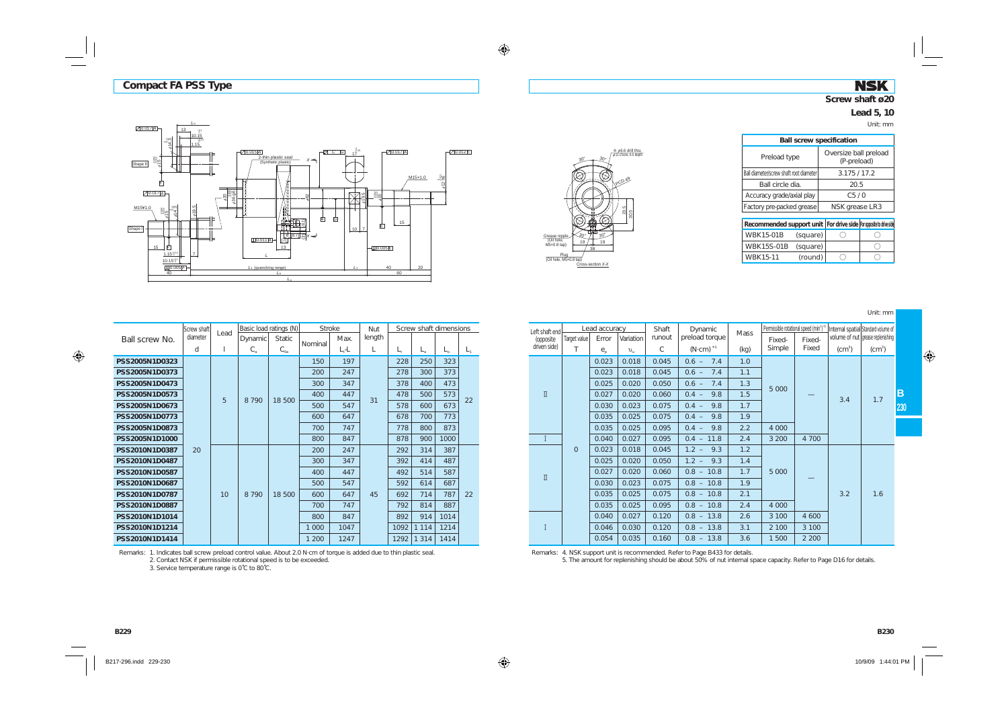*L*o

### **NSK Screw shaft ø20**

# **Lead 5, 10**

Unit: mm

| $20.017A -$<br>$13$ .<br>10.15<br>$^{8.4}_{\phi}14.3$<br>1.15           | $-9.14$<br>$\pi$ $\sigma$ $\sigma$<br>$70.015$ $A$                                      | $12^{\frac{0}{2}25}$            | $70.017$ $A$              | 70.012E                 |
|-------------------------------------------------------------------------|-----------------------------------------------------------------------------------------|---------------------------------|---------------------------|-------------------------|
| $*15$ $45$<br>Shape II<br>Ē                                             | 2-thin plastic seal<br>$X \rightarrow$<br>(Synthetic plastic)<br>⊏                      |                                 | M15×1.0                   | $612 \frac{20011}{100}$ |
| $70.017$ A                                                              | ,<br>$420$<br>$+36.96$<br>4j<br>\$62                                                    | ம<br>σi<br>5                    | <b>3%2</b><br>۰A          |                         |
| M15¥1.0<br>619.5<br>Ξm<br>鹟5<br>۰A                                      | N<br>a,<br>囟<br>Ġ<br>帯<br>ᆖ<br>恤<br>ਵ<br>$^{\circ}$                                     |                                 | 15<br>囱                   |                         |
| Shape I<br>15<br>庐                                                      | .<br>$\frac{1}{\binom{N}{2}}$ (87) $\frac{1}{\binom{N}{2}}$<br>$L[0.011]A -$<br>⊨<br>13 | $10$ $\overline{\phantom{0}}$ 7 |                           |                         |
| $1.15\%$ <sup>14</sup><br>$\overline{I}$<br>$10.15^{+0.1}$<br>L[0.005]F | $L_1$ (quenching range)                                                                 | $L_1$                           | $-10.005$ $E$<br>40<br>20 |                         |
| 40                                                                      | L٥                                                                                      |                                 | 60                        |                         |



| <b>Ball screw specification</b>                                        |                                      |  |  |  |  |  |  |  |  |  |  |  |
|------------------------------------------------------------------------|--------------------------------------|--|--|--|--|--|--|--|--|--|--|--|
| Preload type                                                           | Oversize ball preload<br>(P-preload) |  |  |  |  |  |  |  |  |  |  |  |
| Ball diameter/screw shaft root diameter                                | 3.175/17.2                           |  |  |  |  |  |  |  |  |  |  |  |
| Ball circle dia.                                                       | 20.5                                 |  |  |  |  |  |  |  |  |  |  |  |
| Accuracy grade/axial play                                              | C5/0                                 |  |  |  |  |  |  |  |  |  |  |  |
| Factory pre-packed grease                                              | NSK grease LR3                       |  |  |  |  |  |  |  |  |  |  |  |
|                                                                        |                                      |  |  |  |  |  |  |  |  |  |  |  |
| Recommended support unit   For drive side   For opposite to drive side |                                      |  |  |  |  |  |  |  |  |  |  |  |

| Recommended support unit   For drive side   For opposite to drive side |          |  |
|------------------------------------------------------------------------|----------|--|
| <b>WBK15-01B</b>                                                       | (square) |  |
| <b>WBK15S-01B</b>                                                      | (square) |  |
| <b>WBK15-11</b>                                                        | (round)  |  |

Unit: mm

|                                                                      | Screw shaft |      |             | Basic load ratings (N) | <b>Stroke</b> |          | <b>Nut</b> |             | Screw shaft dimensions |              |         |
|----------------------------------------------------------------------|-------------|------|-------------|------------------------|---------------|----------|------------|-------------|------------------------|--------------|---------|
| Ball screw No.                                                       | diameter    | Lead | Dynamic     | <b>Static</b>          |               | Max.     | length     |             |                        |              |         |
|                                                                      | d           | 1    | $C_{\rm a}$ | $C_{0a}$               | Nominal       | $L_t$ -L | L          | $L_{\rm t}$ | $L_{\rm a}$            | $L_{\alpha}$ | $L_{1}$ |
| PSS2005N1D0323                                                       |             |      |             |                        | 150           | 197      |            | 228         | 250                    | 323          |         |
| PSS2005N1D0373<br>PSS2005N1D0473<br>PSS2005N1D0573                   |             |      |             |                        | 200           | 247      |            | 278         | 300                    | 373          |         |
|                                                                      |             |      |             |                        | 300           | 347      |            | 378         | 400                    | 473          |         |
|                                                                      |             | 5    | 8790        |                        | 400           | 447      | 31         | 478         | 500                    | 573          |         |
| PSS2005N1D0673                                                       |             |      |             | 18 500                 | 500           | 547      |            | 578         | 600                    | 673          | 22      |
| PSS2005N1D0773<br>PSS2005N1D0873                                     |             |      |             |                        | 600           | 647      |            | 678         | 700                    | 773          |         |
|                                                                      |             |      |             |                        | 700           | 747      |            | 778         | 800                    | 873          |         |
| PSS2005N1D1000                                                       | 20          |      | 800<br>847  | 878                    | 900           | 1000     |            |             |                        |              |         |
| PSS2010N1D0387                                                       |             |      |             |                        | 200           | 247      |            | 292         | 314                    | 387          |         |
| PSS2010N1D0487                                                       |             |      |             |                        | 300           | 347      |            | 392         | 414                    | 487          |         |
| PSS2010N1D0587                                                       |             |      |             |                        | 400           | 447      |            | 492         | 514                    | 587          |         |
| PSS2010N1D0687                                                       |             |      |             |                        | 500           | 547      |            | 592         | 614                    | 687          |         |
| PSS2010N1D0787                                                       |             | 10   | 8 7 9 0     | 18 500                 | 600           | 647      | 45         | 692         | 714                    | 787          | 22      |
| PSS2010N1D0887<br>PSS2010N1D1014<br>PSS2010N1D1214<br>PSS2010N1D1414 |             |      |             |                        | 700           | 747      |            | 792         | 814                    | 887          |         |
|                                                                      |             |      |             |                        | 800           | 847      |            | 892         | 914                    | 1014         |         |
|                                                                      |             |      |             |                        | 1 000         | 1047     |            | 1092        | 1 1 1 4                | 1214         |         |
|                                                                      |             |      |             |                        | 1 200         | 1247     |            | 1292        | 1 3 1 4                | 1414         |         |

| roke:   | Nut    |      | Screw shaft dimensions |       |    | Left shaft end |                | Lead accuracy                   |             | Shaft  | Dynamic             |             | Permissible rotational speed (min <sup>3</sup> ) |         |          | Internal spatial Standard volume of |     |
|---------|--------|------|------------------------|-------|----|----------------|----------------|---------------------------------|-------------|--------|---------------------|-------------|--------------------------------------------------|---------|----------|-------------------------------------|-----|
| Max.    | length |      |                        |       |    | (opposite      | Target value   | Error                           | Variation   | runout | preload torque      | <b>Mass</b> | Fixed-                                           | Fixed-  |          | volume of nut grease replenishing   |     |
| $L, -L$ |        |      |                        | $L_0$ | L1 | driven side)   |                | $e_{\scriptscriptstyle{\circ}}$ | $v_{\rm u}$ | C      | $(N \cdot cm)^{*1}$ | (kg)        | Simple                                           | Fixed   | $(cm^3)$ | (cm <sup>3</sup> )                  |     |
| 197     |        | 228  | 250                    | 323   |    |                |                | 0.023                           | 0.018       | 0.045  | 7.4<br>$0.6 -$      | 1.0         |                                                  |         |          |                                     |     |
| 247     |        | 278  | 300                    | 373   |    |                |                | 0.023                           | 0.018       | 0.045  | $0.6 -$<br>7.4      | 1.1         |                                                  |         |          |                                     |     |
| 347     |        | 378  | 400                    | 473   |    |                |                | 0.025                           | 0.020       | 0.050  | 7.4<br>$0.6 -$      | 1.3         | 5 0 0 0                                          |         |          |                                     |     |
| 447     | 31     | 478  | 500                    | 573   | 22 | $\mathbb I$    |                | 0.027                           | 0.020       | 0.060  | 9.8<br>$0.4 -$      | 1.5         |                                                  |         | 3.4      | 1.7                                 | ΙB  |
| 547     |        | 578  | 600                    | 673   |    |                |                | 0.030                           | 0.023       | 0.075  | 9.8<br>$0.4 -$      | 1.7         |                                                  |         |          |                                     | 230 |
| 647     |        | 678  | 700                    | 773   |    |                |                | 0.035                           | 0.025       | 0.075  | 9.8<br>$0.4 -$      | 1.9         |                                                  |         |          |                                     |     |
| 747     |        | 778  | 800                    | 873   |    |                |                | 0.035                           | 0.025       | 0.095  | 9.8<br>$0.4 -$      | 2.2         | 4 0 0 0                                          |         |          |                                     |     |
| 847     |        | 878  | 900                    | 1000  |    |                |                | 0.040                           | 0.027       | 0.095  | $0.4 - 11.8$        | 2.4         | 3 2 0 0                                          | 4 700   |          |                                     |     |
| 247     |        | 292  | 314                    | 387   |    |                | $\overline{0}$ | 0.023                           | 0.018       | 0.045  | 9.3<br>$1.2 -$      | 1.2         |                                                  |         |          |                                     |     |
| 347     |        | 392  | 414                    | 487   |    |                |                | 0.025                           | 0.020       | 0.050  | $1.2 - 9.3$         | 1.4         |                                                  |         |          |                                     |     |
| 447     |        | 492  | 514                    | 587   |    | $\mathbbm{I}$  |                | 0.027                           | 0.020       | 0.060  | $0.8 - 10.8$        | 1.7         | 5 0 0 0                                          |         |          |                                     |     |
| 547     |        | 592  | 614                    | 687   |    |                |                | 0.030                           | 0.023       | 0.075  | $0.8 - 10.8$        | 1.9         |                                                  |         |          |                                     |     |
| 647     | 45     | 692  | 714                    | 787   | 22 |                |                | 0.035                           | 0.025       | 0.075  | $0.8 - 10.8$        | 2.1         |                                                  |         | 3.2      | 1.6                                 |     |
| 747     |        | 792  | 814                    | 887   |    |                |                | 0.035                           | 0.025       | 0.095  | $0.8 - 10.8$        | 2.4         | 4 0 0 0                                          |         |          |                                     |     |
| 847     |        | 892  | 914                    | 1014  |    |                |                | 0.040                           | 0.027       | 0.120  | $0.8 - 13.8$        | 2.6         | 3 100                                            | 4 600   |          |                                     |     |
| 1047    |        | 1092 | 1 1 1 4                | 1214  |    |                |                | 0.046                           | 0.030       | 0.120  | $0.8 - 13.8$        | 3.1         | 2 100                                            | 3 100   |          |                                     |     |
| 1247    |        | 1292 | 1 3 1 4                | 1414  |    |                |                | 0.054                           | 0.035       | 0.160  | $0.8 - 13.8$        | 3.6         | 1 500                                            | 2 2 0 0 |          |                                     |     |

Remarks: 4. NSK support unit is recommended. Refer to Page B433 for details.

5. The amount for replenishing should be about 50% of nut internal space capacity. Refer to Page D16 for details.

Remarks: 1. Indicates ball screw preload control value. About 2.0 N·cm of torque is added due to thin plastic seal. 2. Contact NSK if permissible rotational speed is to be exceeded.

3. Service temperature range is 0˚C to 80˚C.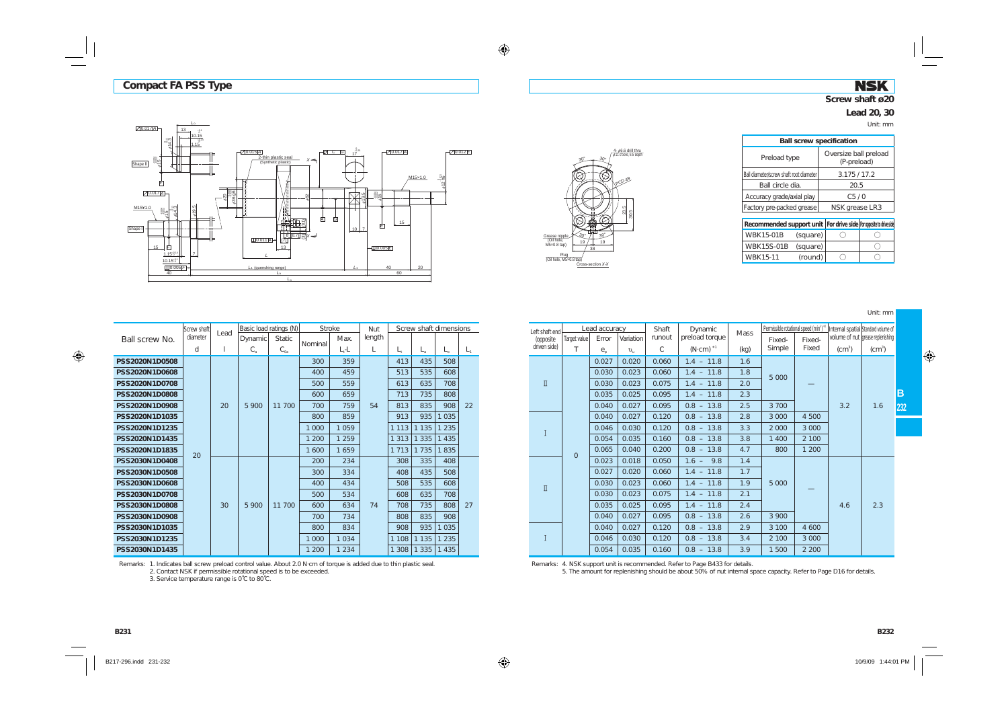### **NSK Screw shaft ø20**

#### **Lead 20, 30**

Unit: mm





| <b>Ball screw specification</b>                                        |                                      |  |  |  |  |  |
|------------------------------------------------------------------------|--------------------------------------|--|--|--|--|--|
| Preload type                                                           | Oversize ball preload<br>(P-preload) |  |  |  |  |  |
| Ball diameter/screw shaft root diameter                                | 3.175/17.2                           |  |  |  |  |  |
| Ball circle dia.                                                       | 20.5                                 |  |  |  |  |  |
| Accuracy grade/axial play                                              | C5/0                                 |  |  |  |  |  |
| Factory pre-packed grease                                              | NSK grease LR3                       |  |  |  |  |  |
| Recommended support unit   For drive side   For opposite to drive side |                                      |  |  |  |  |  |
|                                                                        |                                      |  |  |  |  |  |

| Recommended Support unit   For drive side   For opposite to anye side |          |  |
|-----------------------------------------------------------------------|----------|--|
| <b>WBK15-01B</b>                                                      | (square) |  |
| WBK15S-01B (square)                                                   |          |  |
| <b>WBK15-11</b>                                                       | (round)  |  |

Unit: mm

|                | Screw shaft |      | Basic load ratings (N) |               | <b>Stroke</b> |         | <b>Nut</b> |             |             | Screw shaft dimensions |         |
|----------------|-------------|------|------------------------|---------------|---------------|---------|------------|-------------|-------------|------------------------|---------|
| Ball screw No. | diameter    | Lead | Dynamic                | <b>Static</b> |               | Max.    | length     |             |             |                        |         |
|                | d           | 1    | $C_{\rm a}$            | $C_{0a}$      | Nominal       | $L, -L$ | L          | $L_{\rm t}$ | $L_{\rm a}$ | $L_{\alpha}$           | $L_{1}$ |
| PSS2020N1D0508 |             |      |                        |               | 300           | 359     |            | 413         | 435         | 508                    |         |
| PSS2020N1D0608 |             |      |                        |               | 400           | 459     |            | 513         | 535         | 608                    |         |
| PSS2020N1D0708 |             |      |                        |               | 500           | 559     |            | 613         | 635         | 708                    |         |
| PSS2020N1D0808 |             |      |                        |               | 600           | 659     |            | 713         | 735         | 808                    |         |
| PSS2020N1D0908 |             | 20   | 5 900                  | 11 700        | 700           | 759     | 54         | 813         | 835         | 908                    | 22      |
| PSS2020N1D1035 |             |      |                        |               | 800           | 859     |            | 913         | 935         | 1 0 3 5                |         |
| PSS2020N1D1235 |             |      |                        |               | 1 000         | 1 0 5 9 |            | 1 1 1 3     | 1 1 3 5     | 1 2 3 5                |         |
| PSS2020N1D1435 |             |      |                        |               | 1 200         | 1 2 5 9 |            | 1 3 1 3     | 1 3 3 5     | 1 4 3 5                |         |
| PSS2020N1D1835 | 20          |      |                        |               | 1 600         | 1659    |            | 1 7 1 3     | 1735        | 1835                   |         |
| PSS2030N1D0408 |             |      |                        |               | 200           | 234     |            | 308         | 335         | 408                    |         |
| PSS2030N1D0508 |             |      |                        |               | 300           | 334     |            | 408         | 435         | 508                    |         |
| PSS2030N1D0608 |             |      |                        |               | 400           | 434     |            | 508         | 535         | 608                    |         |
| PSS2030N1D0708 |             |      |                        |               | 500           | 534     |            | 608         | 635         | 708                    |         |
| PSS2030N1D0808 |             | 30   | 5 900                  | 11 700        | 600           | 634     | 74         | 708         | 735         | 808                    | 27      |
| PSS2030N1D0908 |             |      |                        |               | 700           | 734     |            | 808         | 835         | 908                    |         |
| PSS2030N1D1035 |             |      |                        |               | 800           | 834     |            | 908         | 935         | 1 0 3 5                |         |
| PSS2030N1D1235 |             |      |                        |               | 1 000         | 1 0 3 4 |            | 1 1 0 8     | 1 1 3 5     | 1 2 3 5                |         |
| PSS2030N1D1435 |             |      |                        |               | 1 200         | 1 2 3 4 |            | 1 308       | 1 3 3 5     | 1 4 3 5                |         |

| roke:   | Nut    |         | Screw shaft dimensions |         |    | Left shaft end           |              | Lead accuracy                   |              | Shaft  | Dynamic             | <b>Mass</b> | Permissible rotational speed (min <sup>3</sup> |                          |          | Internal spatial Standard volume of |     |
|---------|--------|---------|------------------------|---------|----|--------------------------|--------------|---------------------------------|--------------|--------|---------------------|-------------|------------------------------------------------|--------------------------|----------|-------------------------------------|-----|
| Max.    | length |         |                        |         |    | (opposite                | Target value | Error                           | Variation    | runout | preload torque      |             | Fixed-                                         | Fixed-                   |          | volume of nut grease replenishing   |     |
| $L - L$ |        |         |                        |         |    | driven side)             |              | $e_{\scriptscriptstyle{\circ}}$ | $\upsilon$ . | C      | $(N \cdot cm)^{*1}$ | (kq)        | Simple                                         | Fixed                    | $(cm^3)$ | $\rm (cm^3)$                        |     |
| 359     |        | 413     | 435                    | 508     |    |                          |              | 0.027                           | 0.020        | 0.060  | $1.4 - 11.8$        | 1.6         |                                                |                          |          |                                     |     |
| 459     |        | 513     | 535                    | 608     |    |                          |              | 0.030                           | 0.023        | 0.060  | $1.4 - 11.8$        | 1.8         | 5 0 0 0                                        |                          |          |                                     |     |
| 559     |        | 613     | 635                    | 708     |    | $\rm \overline{\rm I}$   |              | 0.030                           | 0.023        | 0.075  | $1.4 - 11.8$        | 2.0         |                                                |                          |          |                                     |     |
| 659     |        | 713     | 735                    | 808     |    |                          |              | 0.035                           | 0.025        | 0.095  | $1.4 - 11.8$        | 2.3         |                                                |                          |          |                                     | B   |
| 759     | 54     | 813     | 835                    | 908     | 22 |                          |              | 0.040                           | 0.027        | 0.095  | $0.8 - 13.8$        | 2.5         | 3 700                                          |                          | 3.2      | 1.6                                 | 232 |
| 859     |        | 913     | 935                    | 035     |    |                          |              | 0.040                           | 0.027        | 0.120  | $0.8 - 13.8$        | 2.8         | 3 0 0 0                                        | 4 500                    |          |                                     |     |
| 1 0 5 9 |        | 1 1 1 3 | 1135                   | 235     |    |                          |              | 0.046                           | 0.030        | 0.120  | $0.8 - 13.8$        | 3.3         | 2 0 0 0                                        | 3 0 0 0                  |          |                                     |     |
| 1 2 5 9 |        | 1 3 1 3 | 1335                   | 435     |    |                          |              | 0.054                           | 0.035        | 0.160  | $0.8 - 13.8$        | 3.8         | 1 400                                          | 2 100                    |          |                                     |     |
| 1659    |        | 1 7 1 3 | 1735                   | 835     |    |                          | $\mathbf{0}$ | 0.065                           | 0.040        | 0.200  | $0.8 - 13.8$        | 4.7         | 800                                            | 1 200                    |          |                                     |     |
| 234     |        | 308     | 335                    | 408     |    |                          |              | 0.023                           | 0.018        | 0.050  | 9.8<br>$1.6 -$      | 1.4         |                                                |                          |          |                                     |     |
| 334     |        | 408     | 435                    | 508     |    |                          |              | 0.027                           | 0.020        | 0.060  | $1.4 - 11.8$        | 1.7         |                                                |                          |          |                                     |     |
| 434     |        | 508     | 535                    | 608     |    | $\rm I\hspace{-0.04cm}I$ |              | 0.030                           | 0.023        | 0.060  | $1.4 - 11.8$        | 1.9         | 5 0 0 0                                        |                          |          |                                     |     |
| 534     |        | 608     | 635                    | 708     |    |                          |              | 0.030                           | 0.023        | 0.075  | $1.4 - 11.8$        | 2.1         |                                                | $\overline{\phantom{a}}$ |          |                                     |     |
| 634     | 74     | 708     | 735                    | 808     | 27 |                          |              | 0.035                           | 0.025        | 0.095  | $1.4 - 11.8$        | 2.4         |                                                |                          | 4.6      | 2.3                                 |     |
| 734     |        | 808     | 835                    | 908     |    |                          |              | 0.040                           | 0.027        | 0.095  | $0.8 - 13.8$        | 2.6         | 3 900                                          |                          |          |                                     |     |
| 834     |        | 908     | 935                    | 035     |    |                          |              | 0.040                           | 0.027        | 0.120  | $0.8 - 13.8$        | 2.9         | 3 100                                          | 4 600                    |          |                                     |     |
| 1 0 3 4 |        | 1 1 0 8 | 1135                   | 235     |    |                          |              | 0.046                           | 0.030        | 0.120  | $0.8 - 13.8$        | 3.4         | 2 100                                          | 3 0 0 0                  |          |                                     |     |
| 1 2 3 4 |        | 1308    | 1335                   | 1 4 3 5 |    |                          |              | 0.054                           | 0.035        | 0.160  | $0.8 - 13.8$        | 3.9         | 1 500                                          | 2 2 0 0                  |          |                                     |     |

Remarks: 1. Indicates ball screw preload control value. About 2.0 N·cm of torque is added due to thin plastic seal. 2. Contact NSK if permissible rotational speed is to be exceeded.

3. Service temperature range is 0˚C to 80˚C.

Remarks: 4. NSK support unit is recommended. Refer to Page B433 for details.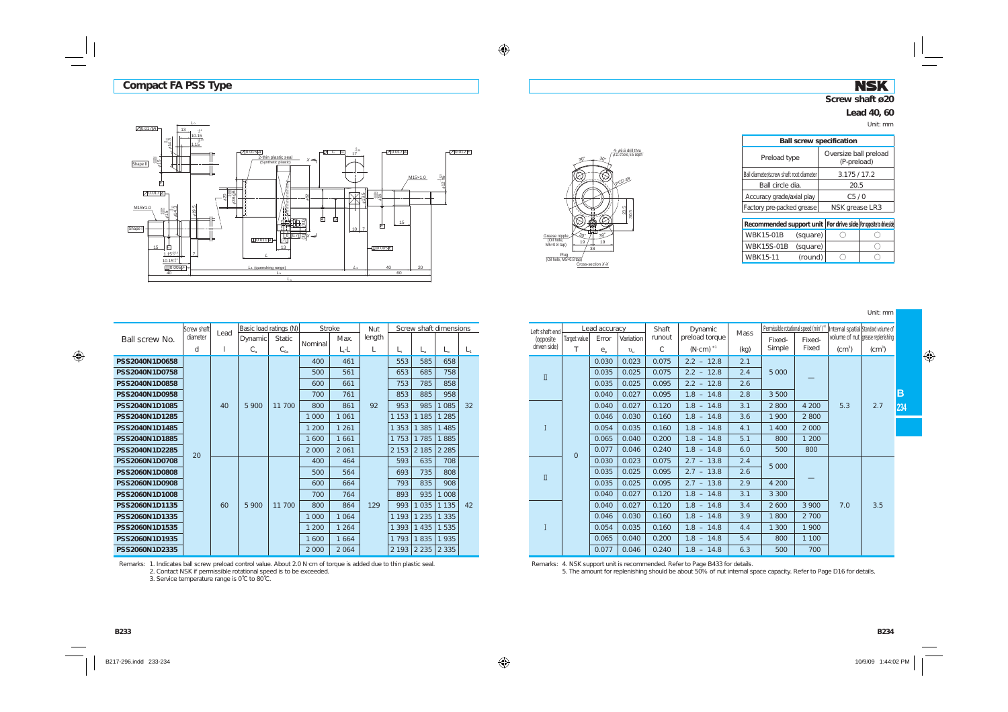*L*o

### **NSK Screw shaft ø20**

## **Lead 40, 60**

Unit: mm

| Shape II<br>M15¥1.0<br>Shape I | $20.017$ $Al$<br>13<br>$e^{14.3}$<br>$+15.4$<br>庐<br>$70.017$ A<br>$\frac{1}{2}$<br>鹟<br>÷.<br>۰e<br>15<br>IF<br>$1.15^{+0.14}$<br>$10.15^{+0.1}$ | $^{+0.1}_{0.15}$<br>$\frac{1.15}{1.15}$<br>$\overline{U}$ $C$ $\overline{G}$<br>70.015A<br>2-thin plastic seal<br>$X \rightarrow$<br>(Synthetic plastic)<br>⊨<br>20<br>36 96<br>$-62$<br>$\sum_{i=1}^{N}$<br>636<br>619.5<br>Ġ<br>囟<br>⊨<br>(8.1)<br>Βħ<br>≖<br>$\frac{1}{\sqrt{2}}$ $\frac{1}{\sqrt{2}}$ $\frac{1}{\sqrt{2}}$ $\frac{1}{\sqrt{2}}$ $\frac{1}{\sqrt{2}}$ $\frac{1}{\sqrt{2}}$ $\frac{1}{\sqrt{2}}$ $\frac{1}{\sqrt{2}}$ $\frac{1}{\sqrt{2}}$ $\frac{1}{\sqrt{2}}$ $\frac{1}{\sqrt{2}}$ $\frac{1}{\sqrt{2}}$ $\frac{1}{\sqrt{2}}$ $\frac{1}{\sqrt{2}}$ $\frac{1}{\sqrt{2}}$ $\frac{1}{\sqrt{2}}$ $\frac{1}{\sqrt{2}}$<br>⊨<br>$\boxed{\perp}$ $0.011$  A-<br>13<br>$\overline{z}$ | $17^{0.25}$<br>5<br>တဲ<br>5<br>$10 - 7$ | $70.017$ $A$<br>M15×1.0<br><b>第9</b><br>÷a<br>15<br>囱<br>$-10.005E$ | $70.012$ $E$<br>$612 \frac{8}{16}$ |
|--------------------------------|---------------------------------------------------------------------------------------------------------------------------------------------------|--------------------------------------------------------------------------------------------------------------------------------------------------------------------------------------------------------------------------------------------------------------------------------------------------------------------------------------------------------------------------------------------------------------------------------------------------------------------------------------------------------------------------------------------------------------------------------------------------------------------------------------------------------------------------------------------------|-----------------------------------------|---------------------------------------------------------------------|------------------------------------|
|                                | $10.005$ F-                                                                                                                                       | $L_1$ (quenching range)                                                                                                                                                                                                                                                                                                                                                                                                                                                                                                                                                                                                                                                                          | $L_1$                                   | 40<br>20                                                            |                                    |
|                                | 40                                                                                                                                                |                                                                                                                                                                                                                                                                                                                                                                                                                                                                                                                                                                                                                                                                                                  |                                         | 60                                                                  |                                    |
|                                |                                                                                                                                                   | L <sub>0</sub>                                                                                                                                                                                                                                                                                                                                                                                                                                                                                                                                                                                                                                                                                   |                                         |                                                                     |                                    |



| <b>Ball screw specification</b>         |                                                                 |
|-----------------------------------------|-----------------------------------------------------------------|
| Preload type                            | Oversize ball preload<br>(P-preload)                            |
| Ball diameter/screw shaft root diameter | 3.175/17.2                                                      |
| Ball circle dia                         | 20.5                                                            |
| Accuracy grade/axial play               | C5/0                                                            |
| Factory pre-packed grease               | NSK grease LR3                                                  |
|                                         | Recommended support unit For drive side Formosite in drive side |

| Recommended support unit   For drive side  For opposite to drive sid |          |  |  |  |  |
|----------------------------------------------------------------------|----------|--|--|--|--|
| <b>WBK15-01B</b>                                                     | (square) |  |  |  |  |
| WBK15S-01B (square)                                                  |          |  |  |  |  |
| <b>WBK15-11</b>                                                      | (round)  |  |  |  |  |

Unit: mm

|                | Screw shaft |      |             | Basic load ratings (N) | <b>Stroke</b> |          | Nut    |             | Screw shaft dimensions |             |         |
|----------------|-------------|------|-------------|------------------------|---------------|----------|--------|-------------|------------------------|-------------|---------|
| Ball screw No. | diameter    | Lead | Dynamic     | <b>Static</b>          |               | Max.     | length |             |                        |             |         |
|                | d           | 1    | $C_{\rm a}$ | $C_{0a}$               | Nominal       | $L_t$ -L | L      | $L_{\rm t}$ | $L_{\rm a}$            | $L_{\circ}$ | $L_{1}$ |
| PSS2040N1D0658 |             |      |             |                        | 400           | 461      |        | 553         | 585                    | 658         |         |
| PSS2040N1D0758 |             |      |             |                        | 500           | 561      |        | 653         | 685                    | 758         |         |
| PSS2040N1D0858 |             |      |             |                        | 600           | 661      |        | 753         | 785                    | 858         |         |
| PSS2040N1D0958 |             |      |             |                        | 700           | 761      |        | 853         | 885                    | 958         |         |
| PSS2040N1D1085 |             | 40   | 5 900       | 11 700                 | 800           | 861      | 92     | 953         | 985                    | 1 0 8 5     | 32      |
| PSS2040N1D1285 |             |      |             |                        | 1 000         | 1 0 6 1  |        | 1 1 5 3     | 1 1 8 5                | 1 2 8 5     |         |
| PSS2040N1D1485 |             |      |             |                        | 1 200         | 1 2 6 1  |        | 1 3 5 3     | 1 3 8 5                | 1 4 8 5     |         |
| PSS2040N1D1885 |             |      |             |                        | 1 600         | 1 6 6 1  |        | 1753        | 1785                   | 1885        |         |
| PSS2040N1D2285 | 20          |      |             |                        | 2 0 0 0       | 2 0 6 1  |        | 2 1 5 3     | 2 1 8 5                | 2 2 8 5     |         |
| PSS2060N1D0708 |             |      |             |                        | 400           | 464      |        | 593         | 635                    | 708         |         |
| PSS2060N1D0808 |             |      |             |                        | 500           | 564      |        | 693         | 735                    | 808         |         |
| PSS2060N1D0908 |             |      |             |                        | 600           | 664      |        | 793         | 835                    | 908         |         |
| PSS2060N1D1008 |             |      |             |                        | 700           | 764      |        | 893         | 935                    | 1 0 0 8     |         |
| PSS2060N1D1135 |             | 60   | 5 900       | 11 700                 | 800           | 864      | 129    | 993         | 1 0 3 5                | 1 1 3 5     | 42      |
| PSS2060N1D1335 |             |      |             |                        | 1 000         | 1 0 6 4  |        | 1 1 9 3     | 1 2 3 5                | 1 3 3 5     |         |
| PSS2060N1D1535 |             |      |             |                        | 1 200         | 1 2 6 4  |        | 1 3 9 3     | 1 4 3 5                | 1 5 3 5     |         |
| PSS2060N1D1935 |             |      |             |                        | 1 600         | 1 6 6 4  |        | 1793        | 1835                   | 1935        |         |
| PSS2060N1D2335 |             |      |             |                        | 2 0 0 0       | 2 0 6 4  |        | 2 1 9 3     | 2 2 3 5                | 2 3 3 5     |         |

| roke:   | Nut    |         |         | Screw shaft dimensions |    | Left shaft end           |              | Lead accuracy                   |              | Shaft  | Dynamic             | <b>Mass</b> | Permissible rotational speed (min <sup>3</sup> |         |              | Internal spatial Standard volume of |   |
|---------|--------|---------|---------|------------------------|----|--------------------------|--------------|---------------------------------|--------------|--------|---------------------|-------------|------------------------------------------------|---------|--------------|-------------------------------------|---|
| Max.    | length |         |         |                        |    | (opposite                | Target value | Error                           | Variation    | runout | preload torque      |             | Fixed-                                         | Fixed-  |              | volume of nut grease replenishing   |   |
| $L - L$ |        |         |         | L0                     | L, | driven side)             |              | $e_{\scriptscriptstyle{\circ}}$ | $\upsilon$ . | C      | $(N \cdot cm)^{*1}$ | (kq)        | Simple                                         | Fixed   | $\rm (cm^3)$ | $\rm (cm^3)$                        |   |
| 461     |        | 553     | 585     | 658                    |    |                          |              | 0.030                           | 0.023        | 0.075  | $2.2 - 12.8$        | 2.1         |                                                |         |              |                                     |   |
| 561     |        | 653     | 685     | 758                    |    | $\rm \Pi$                |              | 0.035                           | 0.025        | 0.075  | $2.2 - 12.8$        | 2.4         | 5 0 0 0                                        |         |              |                                     |   |
| 661     |        | 753     | 785     | 858                    |    |                          |              | 0.035                           | 0.025        | 0.095  | $2.2 - 12.8$        | 2.6         |                                                |         |              |                                     |   |
| 761     |        | 853     | 885     | 958                    |    |                          |              | 0.040                           | 0.027        | 0.095  | $1.8 - 14.8$        | 2.8         | 3 500                                          |         |              |                                     | B |
| 861     | 92     | 953     | 985     | 1 0 8 5                | 32 |                          |              | 0.040                           | 0.027        | 0.120  | $1.8 - 14.8$        | 3.1         | 2 8 0 0                                        | 4 200   | 5.3          | 2.7                                 |   |
| 1 0 6 1 |        | 1 1 5 3 | 1185    | 285                    |    |                          |              | 0.046                           | 0.030        | 0.160  | $1.8 - 14.8$        | 3.6         | 1 900                                          | 2 800   |              |                                     |   |
| 1 2 6 1 |        | 1 3 5 3 | 1 3 8 5 | 485                    |    |                          |              | 0.054                           | 0.035        | 0.160  | $1.8 - 14.8$        | 4.1         | 1 400                                          | 2 0 0 0 |              |                                     |   |
| 1661    |        | 1753    | 1785    | 885                    |    |                          |              | 0.065                           | 0.040        | 0.200  | $1.8 - 14.8$        | 5.1         | 800                                            | 1 200   |              |                                     |   |
| 2 0 6 1 |        | 2153    | 2185    | 2 2 8 5                |    |                          | $\mathbf{0}$ | 0.077                           | 0.046        | 0.240  | $1.8 - 14.8$        | 6.0         | 500                                            | 800     |              |                                     |   |
| 464     |        | 593     | 635     | 708                    |    |                          |              | 0.030                           | 0.023        | 0.075  | $2.7 - 13.8$        | 2.4         | 5 0 0 0                                        |         |              |                                     |   |
| 564     |        | 693     | 735     | 808                    |    | $\rm \scriptstyle\rm II$ |              | 0.035                           | 0.025        | 0.095  | $2.7 - 13.8$        | 2.6         |                                                |         |              |                                     |   |
| 664     |        | 793     | 835     | 908                    |    |                          |              | 0.035                           | 0.025        | 0.095  | $2.7 - 13.8$        | 2.9         | 4 200                                          |         |              |                                     |   |
| 764     |        | 893     | 935     | 008                    |    |                          |              | 0.040                           | 0.027        | 0.120  | $1.8 - 14.8$        | 3.1         | 3 3 0 0                                        |         |              |                                     |   |
| 864     | 129    | 993     | 1035    | 1 1 3 5                | 42 |                          |              | 0.040                           | 0.027        | 0.120  | $1.8 - 14.8$        | 3.4         | 2 6 0 0                                        | 3 900   | 7.0          | 3.5                                 |   |
| 1 0 6 4 |        | 1 1 9 3 | 1235    | 335                    |    |                          |              | 0.046                           | 0.030        | 0.160  | $1.8 - 14.8$        | 3.9         | 1800                                           | 2 700   |              |                                     |   |
| 1 2 6 4 |        | 1 3 9 3 | 1435    | 535                    |    |                          |              | 0.054                           | 0.035        | 0.160  | $1.8 - 14.8$        | 4.4         | 1 300                                          | 1 900   |              |                                     |   |
| 1 6 6 4 |        | 1793    | 1835    | 1935                   |    |                          |              | 0.065                           | 0.040        | 0.200  | $1.8 - 14.8$        | 5.4         | 800                                            | 1 100   |              |                                     |   |
| 2 0 6 4 |        |         |         | 2 193 2 235 2 335      |    |                          |              | 0.077                           | 0.046        | 0.240  | $1.8 - 14.8$        | 6.3         | 500                                            | 700     |              |                                     |   |

Remarks: 1. Indicates ball screw preload control value. About 2.0 N·cm of torque is added due to thin plastic seal. 2. Contact NSK if permissible rotational speed is to be exceeded.

3. Service temperature range is 0˚C to 80˚C.

Remarks: 4. NSK support unit is recommended. Refer to Page B433 for details.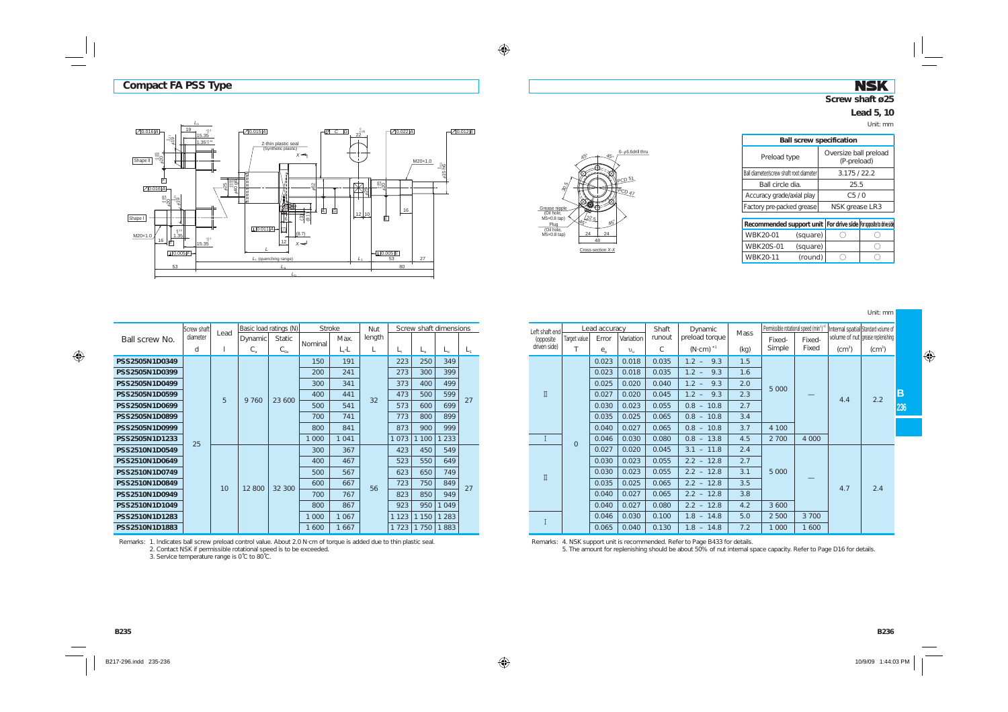### **NSK Screw shaft ø25**

#### **Lead 5, 10**

Unit: mm





| <b>Ball screw specification</b>         |                                      |
|-----------------------------------------|--------------------------------------|
| Preload type                            | Oversize ball preload<br>(P-preload) |
| Ball diameter/screw shaft root diameter | 3.175/22.2                           |
| Ball circle dia                         | 25.5                                 |
| Accuracy grade/axial play               | C5/0                                 |
| Factory pre-packed grease               | NSK grease LR3                       |
|                                         |                                      |

| Recommended support unit   For drive side   For opposite to drive side |          |  |
|------------------------------------------------------------------------|----------|--|
| WBK20-01                                                               | (square) |  |
| <b>WBK20S-01</b>                                                       | (square) |  |
| WBK20-11                                                               | (round)  |  |

Unit: mm

|                | Screw shaft | Lead | Basic load ratings (N) |          | <b>Stroke</b> |         | Nut    |         | Screw shaft dimensions |         |         |
|----------------|-------------|------|------------------------|----------|---------------|---------|--------|---------|------------------------|---------|---------|
| Ball screw No. | diameter    |      | Dynamic                | Static   | Nominal       | Max.    | length |         |                        |         |         |
|                | d           | 1    | $C_{\rm a}$            | $C_{0a}$ |               | $L, -L$ | L      | L,      | $L_{\rm a}$            | L.      | $L_{1}$ |
| PSS2505N1D0349 |             |      |                        |          | 150           | 191     |        | 223     | 250                    | 349     |         |
| PSS2505N1D0399 |             |      |                        |          | 200           | 241     |        | 273     | 300                    | 399     |         |
| PSS2505N1D0499 |             |      |                        |          | 300           | 341     |        | 373     | 400                    | 499     |         |
| PSS2505N1D0599 |             | 5    | 9 760                  | 23,600   | 400           | 441     | 32     | 473     | 500                    | 599     | 27      |
| PSS2505N1D0699 |             |      |                        |          | 500           | 541     |        | 573     | 600                    | 699     |         |
| PSS2505N1D0899 |             |      |                        |          | 700           | 741     |        | 773     | 800                    | 899     |         |
| PSS2505N1D0999 |             |      |                        |          | 800           | 841     |        | 873     | 900                    | 999     |         |
| PSS2505N1D1233 | 25          |      |                        |          | 1 0 0 0       | 1 0 4 1 |        | 1073    | 1 100                  | 1 2 3 3 |         |
| PSS2510N1D0549 |             |      |                        |          | 300           | 367     |        | 423     | 450                    | 549     |         |
| PSS2510N1D0649 |             |      |                        |          | 400           | 467     |        | 523     | 550                    | 649     |         |
| PSS2510N1D0749 |             |      |                        |          | 500           | 567     |        | 623     | 650                    | 749     |         |
| PSS2510N1D0849 |             | 10   | 12800                  | 32 300   | 600           | 667     | 56     | 723     | 750                    | 849     | 27      |
| PSS2510N1D0949 |             |      |                        |          | 700           | 767     |        | 823     | 850                    | 949     |         |
| PSS2510N1D1049 |             |      |                        |          | 800           | 867     |        | 923     | 950                    | 1049    |         |
| PSS2510N1D1283 |             |      |                        |          | 1 0 0 0       | 1 0 6 7 |        | 1 1 2 3 | 1 150                  | 1 2 8 3 |         |
| PSS2510N1D1883 |             |      |                        |          | 1 600         | 1667    |        | 1 7 2 3 | 1750                   | 1883    |         |

Remarks: 1. Indicates ball screw preload control value. About 2.0 N·cm of torque is added due to thin plastic seal. 2. Contact NSK if permissible rotational speed is to be exceeded.

3. Service temperature range is 0˚C to 80˚C.

| roke:   | Nut    |         | Screw shaft dimensions |              |         | Left shaft end         |              | Lead accuracy              |                      | Shaft  | Dynamic             | <b>Mass</b> | Permissible rotational speed (min <sup>1</sup> ) |         | Internal spatial Standard volume of |          |  |  |  |  |       |       |       |              |     |         |                               |  |  |
|---------|--------|---------|------------------------|--------------|---------|------------------------|--------------|----------------------------|----------------------|--------|---------------------|-------------|--------------------------------------------------|---------|-------------------------------------|----------|--|--|--|--|-------|-------|-------|--------------|-----|---------|-------------------------------|--|--|
| Max.    | length |         |                        |              |         | (opposite              | Target value | Error                      | Variation            | runout | preload torque      |             | Fixed-                                           | Fixed-  | volume of nut grease replenishing   |          |  |  |  |  |       |       |       |              |     |         |                               |  |  |
| $L, -L$ |        | L,      | $L_{\rm a}$            | $L_{\Omega}$ | $L_{1}$ | driven side)           |              | $e_{\scriptscriptstyle n}$ | $v_{\shortparallel}$ | C      | $(N \cdot cm)^{*1}$ | (kq)        | Simple                                           | Fixed   | $(cm^3)$                            | $(cm^3)$ |  |  |  |  |       |       |       |              |     |         |                               |  |  |
| 191     |        | 223     | 250                    | 349          |         |                        |              | 0.023                      | 0.018                | 0.035  | 9.3<br>$1.2 -$      | 1.5         |                                                  |         |                                     |          |  |  |  |  |       |       |       |              |     |         |                               |  |  |
| 241     |        | 273     | 300                    | 399          |         |                        |              | 0.023                      | 0.018                | 0.035  | $1.2 -$<br>9.3      | 1.6         |                                                  |         |                                     |          |  |  |  |  |       |       |       |              |     |         |                               |  |  |
| 341     |        | 373     | 400                    | 499          |         |                        |              | 0.025                      | 0.020                | 0.040  | $1.2 -$<br>9.3      | 2.0         | 5 0 0 0                                          |         |                                     |          |  |  |  |  |       |       |       |              |     |         |                               |  |  |
| 441     | 32     | 473     | 500                    | 599          | 27      | $\rm \overline{\rm I}$ |              | 0.027                      | 0.020                | 0.045  | $1.2 -$<br>9.3      | 2.3         |                                                  |         | 4.4                                 | 2.2      |  |  |  |  |       |       |       |              |     |         |                               |  |  |
| 541     |        | 573     | 600                    | 699          |         |                        |              | 0.030                      | 0.023                | 0.055  | $0.8 - 10.8$        | 2.7         |                                                  |         |                                     |          |  |  |  |  |       |       |       |              |     |         |                               |  |  |
| 741     |        | 773     | 800                    | 899          |         |                        |              | 0.035                      | 0.025                | 0.065  | $0.8 - 10.8$        | 3.4         |                                                  |         |                                     |          |  |  |  |  |       |       |       |              |     |         |                               |  |  |
| 841     |        | 873     | 900                    | 999          |         |                        |              | 0.040                      | 0.027                | 0.065  | $0.8 - 10.8$        | 3.7         | 4 100                                            |         |                                     |          |  |  |  |  |       |       |       |              |     |         |                               |  |  |
| 1041    |        | 1073    | 100                    | 233          |         |                        | $\mathbf{0}$ | 0.046                      | 0.030                | 0.080  | $0.8 - 13.8$        | 4.5         | 2 700                                            | 4 0 0 0 |                                     |          |  |  |  |  |       |       |       |              |     |         |                               |  |  |
| 367     |        | 423     | 450                    | 549          |         |                        |              | 0.027                      | 0.020                | 0.045  | $3.1 - 11.8$        | 2.4         |                                                  |         |                                     |          |  |  |  |  |       |       |       |              |     |         |                               |  |  |
| 467     |        | 523     | 550                    | 649          |         |                        |              | 0.030                      | 0.023                | 0.055  | $2.2 - 12.8$        | 2.7         |                                                  |         |                                     |          |  |  |  |  |       |       |       |              |     |         |                               |  |  |
| 567     |        | 623     | 650                    | 749          |         | $\rm \overline{\rm I}$ |              |                            |                      |        |                     |             |                                                  |         |                                     |          |  |  |  |  | 0.030 | 0.023 | 0.055 | $2.2 - 12.8$ | 3.1 | 5 0 0 0 | $\overbrace{\phantom{12332}}$ |  |  |
| 667     | 56     | 723     | 750                    | 849          | 27      |                        |              | 0.035                      | 0.025                | 0.065  | $2.2 - 12.8$        | 3.5         |                                                  |         | 4.7                                 | 2.4      |  |  |  |  |       |       |       |              |     |         |                               |  |  |
| 767     |        | 823     | 850                    | 949          |         |                        |              | 0.040                      | 0.027                | 0.065  | $2.2 - 12.8$        | 3.8         |                                                  |         |                                     |          |  |  |  |  |       |       |       |              |     |         |                               |  |  |
| 867     |        | 923     | 950                    | 049          |         |                        |              | 0.040                      | 0.027                | 0.080  | $2.2 - 12.8$        | 4.2         | 3 6 0 0                                          |         |                                     |          |  |  |  |  |       |       |       |              |     |         |                               |  |  |
| 1 0 6 7 |        | 1 1 2 3 | 1150                   | 283          |         |                        |              | 0.046                      | 0.030                | 0.100  | $1.8 - 14.8$        | 5.0         | 2 500                                            | 3 700   |                                     |          |  |  |  |  |       |       |       |              |     |         |                               |  |  |
| 1667    |        |         | 1 723 1 750 1 883      |              |         |                        |              | 0.065                      | 0.040                | 0.130  | $1.8 - 14.8$        | 7.2         | 1 000                                            | 600     |                                     |          |  |  |  |  |       |       |       |              |     |         |                               |  |  |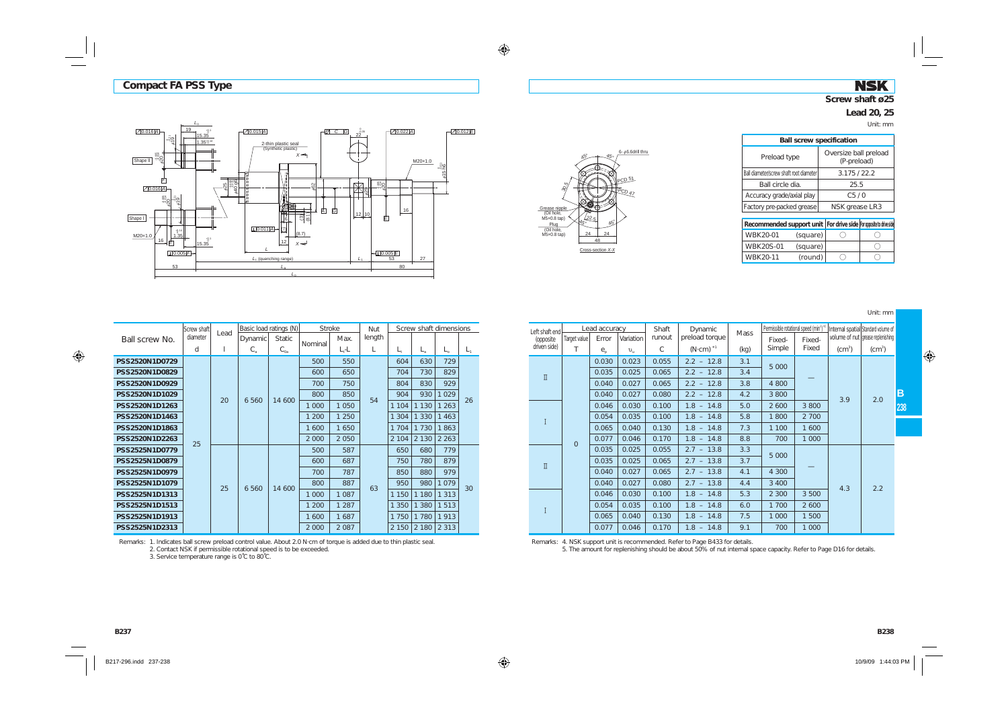$\overline{19}$ 

*L*o

### **NSK Screw shaft ø25**

#### **Lead 20, 25**

Unit: mm

| Oversize ball preload<br>(P-preload) |
|--------------------------------------|
| 3.175/22.2                           |
| 25.5                                 |
| C5/0                                 |
| NSK grease LR3                       |
|                                      |

| Recommended support unit   For drive side   for opposite to drive side |          |  |
|------------------------------------------------------------------------|----------|--|
| WBK20-01                                                               | (square) |  |
| <b>WBK20S-01</b>                                                       | (square) |  |
| <b>WBK20-11</b>                                                        | (round)  |  |

Unit: mm

| $\sqrt{0.016 A }$ | 19.                                                                                       | 15.35              | $-20.015  A $                                                   | -121 C G | $22^{\frac{0.35}{2}}$ | 10.022 A               |                    | ⊣ <u>∠1</u> 0.012 E |
|-------------------|-------------------------------------------------------------------------------------------|--------------------|-----------------------------------------------------------------|----------|-----------------------|------------------------|--------------------|---------------------|
| Shape II          | $rac{3}{6}$ 19<br>$20^{330}_{-1}$                                                         | $1.35_{0}^{+0.14}$ | 2-thin plastic seal<br>(Synthetic plastic)<br>$X \rightarrow$   |          |                       |                        | M20×1.0            |                     |
|                   | 庐<br>$\sqrt{0.016}$ A                                                                     | 96 0t*<br>.85      | ٢<br>662                                                        |          | $\frac{6}{25}$        | ೣೢಁೢ                   | $#15 \frac{8}{16}$ |                     |
| Shape I           | 第20 <sub>22</sub>                                                                         |                    | L٥<br>饆<br>$\frac{(3)}{(8.1)}$<br>افلي<br>$L[0.011]$ A -<br>(7) | 卤<br>À   | $12$ 10               | 16<br>直                |                    |                     |
| M20x1.0           | $\begin{bmatrix} +0.14 \\ 0.35 \end{bmatrix}$<br>$16 - \frac{1}{2}$<br>$\Box$ 0.005 $F$ - | 15.35              | (8.7)<br>12<br>$x \rightarrow$<br>$L1$ (quenching range)        |          | L,                    | $\Box$ 0.005 $E$<br>53 | 27                 |                     |
|                   | 53                                                                                        |                    | $L_{\rm a}$                                                     |          |                       | 80                     |                    |                     |
|                   |                                                                                           |                    | L0                                                              |          |                       |                        |                    |                     |
|                   |                                                                                           |                    |                                                                 |          |                       |                        |                    |                     |
|                   |                                                                                           |                    |                                                                 |          |                       |                        |                    |                     |



|                | Screw shaft |                                      |             | Basic load ratings (N) | <b>Stroke</b> |         | <b>Nut</b> |          | Screw shaft dimensions |              |       |
|----------------|-------------|--------------------------------------|-------------|------------------------|---------------|---------|------------|----------|------------------------|--------------|-------|
| Ball screw No. | diameter    | Lead                                 | Dynamic     | <b>Static</b>          |               | Max.    | length     |          |                        |              |       |
|                | d           | 1                                    | $C_{\rm a}$ | $C_{0a}$               | Nominal       | $L, -L$ | L          | L,       | $L_{\rm a}$            | $L_{\alpha}$ | $L_1$ |
| PSS2520N1D0729 |             |                                      |             |                        | 500           | 550     |            | 604      | 630                    | 729          |       |
| PSS2520N1D0829 |             |                                      |             |                        | 600           | 650     |            | 704      | 730                    | 829          |       |
| PSS2520N1D0929 |             |                                      |             |                        | 700           | 750     |            | 804      | 830                    | 929          |       |
| PSS2520N1D1029 |             |                                      |             | 14 600                 | 800           | 850     | 54         | 904      | 930                    | 1 0 2 9      | 26    |
| PSS2520N1D1263 |             |                                      |             |                        | 1 0 0 0       | 1 0 5 0 |            | 1 1 0 4  | 1 1 3 0                | 1 2 6 3      |       |
| PSS2520N1D1463 |             |                                      |             |                        | 1 200         | 1 2 5 0 |            | 1<br>304 | 1 3 3 0                | 1463         |       |
| PSS2520N1D1863 |             |                                      |             |                        | 1 600         | 1650    |            | 1 7 0 4  | 1 7 3 0                | 1863         |       |
| PSS2520N1D2263 |             | 20<br>6 5 6 0<br>25<br>25<br>6 5 6 0 |             | 2 0 0 0                | 2 0 5 0       |         | 2 1 0 4    | 2 1 3 0  | 2 2 6 3                |              |       |
| PSS2525N1D0779 |             |                                      |             |                        | 500           | 587     |            | 650      | 680                    | 779          |       |
| PSS2525N1D0879 |             |                                      |             |                        | 600           | 687     |            | 750      | 780                    | 879          |       |
| PSS2525N1D0979 |             |                                      |             |                        | 700           | 787     |            | 850      | 880                    | 979          |       |
| PSS2525N1D1079 |             |                                      |             | 14 600                 | 800           | 887     | 63         | 950      | 980                    | 1079         | 30    |
| PSS2525N1D1313 |             |                                      |             |                        | 1 0 0 0       | 1 0 8 7 |            | 1 1 5 0  | 1 1 8 0                | 1 3 1 3      |       |
| PSS2525N1D1513 |             |                                      |             |                        | 1 200         | 1 2 8 7 |            | 1 3 5 0  | 1 3 8 0                | 1513         |       |
| PSS2525N1D1913 |             |                                      |             |                        | 1 600         | 1687    |            | 1 7 5 0  | 1 7 8 0                | 1913         |       |
| PSS2525N1D2313 |             |                                      |             |                        | 2 0 0 0       | 2 0 8 7 |            | 2 1 5 0  | 2 1 8 0                | 2 3 1 3      |       |

Remarks: 1. Indicates ball screw preload control value. About 2.0 N·cm of torque is added due to thin plastic seal. 2. Contact NSK if permissible rotational speed is to be exceeded.

3. Service temperature range is 0˚C to 80˚C.

| roke: |         | Nut               |                               | Screw shaft dimensions   |                       |       |       | Left shaft end         |              | Lead accuracy              |              | Shaft   | Dynamic             | <b>Mass</b>  | Permissible rotational speed (min <sup>1</sup> ) <sup>*</sup> |        | Internal spatial Standard volume of |              |  |  |  |  |  |  |  |  |  |  |  |  |  |  |  |  |  |  |  |       |       |       |              |     |         |       |
|-------|---------|-------------------|-------------------------------|--------------------------|-----------------------|-------|-------|------------------------|--------------|----------------------------|--------------|---------|---------------------|--------------|---------------------------------------------------------------|--------|-------------------------------------|--------------|--|--|--|--|--|--|--|--|--|--|--|--|--|--|--|--|--|--|--|-------|-------|-------|--------------|-----|---------|-------|
|       | Max.    | length            |                               |                          |                       |       |       | (opposite              | Target value | Error                      | Variation    | runout  | preload torque      |              | Fixed-                                                        | Fixed- | volume of nut grease replenishing   |              |  |  |  |  |  |  |  |  |  |  |  |  |  |  |  |  |  |  |  |       |       |       |              |     |         |       |
|       | $L, -L$ |                   | L,                            | $L_{\rm a}$              | $L_{\alpha}$          | L,    |       | driven side)           |              | $e_{\scriptscriptstyle n}$ | $v_{\rm in}$ | C       | $(N \cdot cm)^{*1}$ | (kq)         | Simple                                                        | Fixed  | (cm <sup>3</sup> )                  | $\rm (cm^3)$ |  |  |  |  |  |  |  |  |  |  |  |  |  |  |  |  |  |  |  |       |       |       |              |     |         |       |
|       | 550     |                   | 604                           | 630                      | 729                   |       |       |                        |              | 0.030                      | 0.023        | 0.055   | $2.2 - 12.8$        | 3.1          | 5 0 0 0                                                       |        |                                     |              |  |  |  |  |  |  |  |  |  |  |  |  |  |  |  |  |  |  |  |       |       |       |              |     |         |       |
|       | 650     | 829<br>730<br>704 |                               | $\rm \overline{\rm I}$   |                       | 0.035 | 0.025 | 0.065                  | $2.2 - 12.8$ | 3.4                        |              |         |                     |              |                                                               |        |                                     |              |  |  |  |  |  |  |  |  |  |  |  |  |  |  |  |  |  |  |  |       |       |       |              |     |         |       |
|       | 750     |                   | 804                           | 830                      | 929                   |       |       |                        |              | 0.040                      | 0.027        | 0.065   | $2.2 - 12.8$        | 3.8          | 4 800                                                         |        |                                     |              |  |  |  |  |  |  |  |  |  |  |  |  |  |  |  |  |  |  |  |       |       |       |              |     |         |       |
|       | 850     | 54                | 904                           | 930                      | 1 0 2 9               | 26    |       |                        |              | 0.040                      | 0.027        | 0.080   | $2.2 - 12.8$        | 4.2          | 3 800                                                         |        | 3.9                                 | 2.0          |  |  |  |  |  |  |  |  |  |  |  |  |  |  |  |  |  |  |  |       |       |       |              |     |         |       |
|       | 1 0 5 0 |                   | 1 130  <br>263<br>1 1 0 4     |                          |                       |       | 0.046 | 0.030                  | 0.100        | $1.8 - 14.8$               | 5.0          | 2 6 0 0 | 3 800               |              |                                                               |        |                                     |              |  |  |  |  |  |  |  |  |  |  |  |  |  |  |  |  |  |  |  |       |       |       |              |     |         |       |
|       | 1 2 5 0 |                   | 1 3 0 4                       | 1330 <br>463             |                       |       |       |                        |              |                            |              | 0.054   | 0.035               | 0.100        | $1.8 - 14.8$                                                  | 5.8    | 1800                                | 2 700        |  |  |  |  |  |  |  |  |  |  |  |  |  |  |  |  |  |  |  |       |       |       |              |     |         |       |
|       | 1650    |                   | 1 7 0 4                       | 1730                     | 1863                  |       |       |                        |              | 0.065                      | 0.040        | 0.130   | $1.8 - 14.8$        | 7.3          | 1 100                                                         | 600    |                                     |              |  |  |  |  |  |  |  |  |  |  |  |  |  |  |  |  |  |  |  |       |       |       |              |     |         |       |
|       | 2 0 5 0 |                   | 2 1 0 4                       | 2130                     | 2 2 6 3               |       |       |                        |              | $\overline{0}$             | 0.077        | 0.046   | 0.170               | $1.8 - 14.8$ | 8.8                                                           | 700    | 1 000                               |              |  |  |  |  |  |  |  |  |  |  |  |  |  |  |  |  |  |  |  |       |       |       |              |     |         |       |
|       | 587     |                   | 650                           | 680                      | 779                   |       |       |                        |              | 0.035                      | 0.025        | 0.055   | $2.7 - 13.8$        | 3.3          | 5 0 0 0                                                       |        |                                     |              |  |  |  |  |  |  |  |  |  |  |  |  |  |  |  |  |  |  |  |       |       |       |              |     |         |       |
|       | 687     |                   | 879<br>750<br>780             |                          |                       |       |       | 0.035                  | 0.025        | 0.065                      | $2.7 - 13.8$ | 3.7     |                     |              |                                                               |        |                                     |              |  |  |  |  |  |  |  |  |  |  |  |  |  |  |  |  |  |  |  |       |       |       |              |     |         |       |
|       | 787     |                   | 850                           | 880                      | 979                   |       |       | $\rm \overline{\rm I}$ |              | 0.040                      | 0.027        | 0.065   | $2.7 - 13.8$        | 4.1          | 4 3 0 0                                                       |        |                                     |              |  |  |  |  |  |  |  |  |  |  |  |  |  |  |  |  |  |  |  |       |       |       |              |     |         |       |
|       | 887     | 63                |                               |                          | 1 0 7 9<br>950<br>980 |       |       | 0.040                  | 0.027        | 0.080                      | $2.7 - 13.8$ | 4.4     | 3 4 0 0             |              | 4.3                                                           | 2.2    |                                     |              |  |  |  |  |  |  |  |  |  |  |  |  |  |  |  |  |  |  |  |       |       |       |              |     |         |       |
|       | 1 0 8 7 |                   | 30<br>1150<br>1180<br>  313   |                          |                       | 0.046 | 0.030 | 0.100                  | $1.8 - 14.8$ | 5.3                        | 2 3 0 0      | 3 500   |                     |              |                                                               |        |                                     |              |  |  |  |  |  |  |  |  |  |  |  |  |  |  |  |  |  |  |  |       |       |       |              |     |         |       |
|       | 1 2 8 7 |                   | 1380<br>1350 <br>1780<br>1750 | 513                      |                       |       |       | 0.054                  | 0.035        | 0.100                      | $1.8 - 14.8$ | 6.0     | 1 700               | 2 600        |                                                               |        |                                     |              |  |  |  |  |  |  |  |  |  |  |  |  |  |  |  |  |  |  |  |       |       |       |              |     |         |       |
|       | 1687    |                   |                               |                          |                       |       |       |                        |              |                            | 1913         |         |                     |              |                                                               |        |                                     |              |  |  |  |  |  |  |  |  |  |  |  |  |  |  |  |  |  |  |  | 0.065 | 0.040 | 0.130 | $1.8 - 14.8$ | 7.5 | 1 0 0 0 | 1 500 |
|       | 2087    |                   |                               | $2150$   $2180$   $2313$ |                       |       |       |                        |              | 0.077                      | 0.046        | 0.170   | $1.8 - 14.8$        | 9.1          | 700                                                           | 000    |                                     |              |  |  |  |  |  |  |  |  |  |  |  |  |  |  |  |  |  |  |  |       |       |       |              |     |         |       |